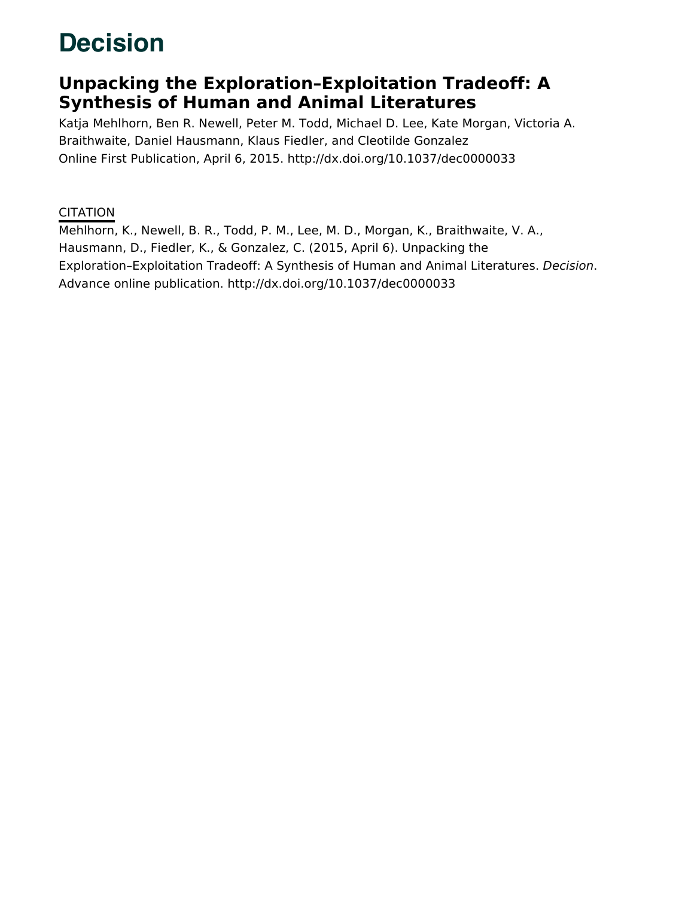# **Decision**

## **Unpacking the Exploration–Exploitation Tradeoff: A Synthesis of Human and Animal Literatures**

Katja Mehlhorn, Ben R. Newell, Peter M. Todd, Michael D. Lee, Kate Morgan, Victoria A. Braithwaite, Daniel Hausmann, Klaus Fiedler, and Cleotilde Gonzalez Online First Publication, April 6, 2015. http://dx.doi.org/10.1037/dec0000033

## **CITATION**

Mehlhorn, K., Newell, B. R., Todd, P. M., Lee, M. D., Morgan, K., Braithwaite, V. A., Hausmann, D., Fiedler, K., & Gonzalez, C. (2015, April 6). Unpacking the Exploration–Exploitation Tradeoff: A Synthesis of Human and Animal Literatures. Decision. Advance online publication. http://dx.doi.org/10.1037/dec0000033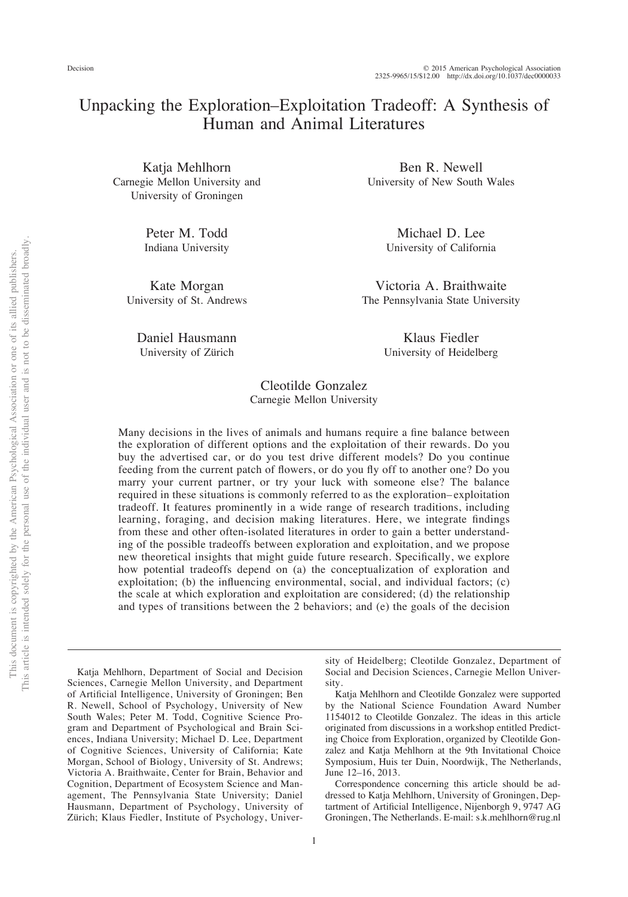### Unpacking the Exploration–Exploitation Tradeoff: A Synthesis of Human and Animal Literatures

Katja Mehlhorn Carnegie Mellon University and University of Groningen

> Peter M. Todd Indiana University

Kate Morgan University of St. Andrews

Daniel Hausmann University of Zürich

Ben R. Newell University of New South Wales

> Michael D. Lee University of California

Victoria A. Braithwaite The Pennsylvania State University

> Klaus Fiedler University of Heidelberg

#### Cleotilde Gonzalez Carnegie Mellon University

Many decisions in the lives of animals and humans require a fine balance between the exploration of different options and the exploitation of their rewards. Do you buy the advertised car, or do you test drive different models? Do you continue feeding from the current patch of flowers, or do you fly off to another one? Do you marry your current partner, or try your luck with someone else? The balance required in these situations is commonly referred to as the exploration– exploitation tradeoff. It features prominently in a wide range of research traditions, including learning, foraging, and decision making literatures. Here, we integrate findings from these and other often-isolated literatures in order to gain a better understanding of the possible tradeoffs between exploration and exploitation, and we propose new theoretical insights that might guide future research. Specifically, we explore how potential tradeoffs depend on (a) the conceptualization of exploration and exploitation; (b) the influencing environmental, social, and individual factors; (c) the scale at which exploration and exploitation are considered; (d) the relationship and types of transitions between the 2 behaviors; and (e) the goals of the decision

Katja Mehlhorn, Department of Social and Decision Sciences, Carnegie Mellon University, and Department of Artificial Intelligence, University of Groningen; Ben R. Newell, School of Psychology, University of New South Wales; Peter M. Todd, Cognitive Science Program and Department of Psychological and Brain Sciences, Indiana University; Michael D. Lee, Department of Cognitive Sciences, University of California; Kate Morgan, School of Biology, University of St. Andrews; Victoria A. Braithwaite, Center for Brain, Behavior and Cognition, Department of Ecosystem Science and Management, The Pennsylvania State University; Daniel Hausmann, Department of Psychology, University of Zürich; Klaus Fiedler, Institute of Psychology, University of Heidelberg; Cleotilde Gonzalez, Department of Social and Decision Sciences, Carnegie Mellon University.

Katja Mehlhorn and Cleotilde Gonzalez were supported by the National Science Foundation Award Number 1154012 to Cleotilde Gonzalez. The ideas in this article originated from discussions in a workshop entitled Predicting Choice from Exploration, organized by Cleotilde Gonzalez and Katja Mehlhorn at the 9th Invitational Choice Symposium, Huis ter Duin, Noordwijk, The Netherlands, June 12–16, 2013.

Correspondence concerning this article should be addressed to Katja Mehlhorn, University of Groningen, Deptartment of Artificial Intelligence, Nijenborgh 9, 9747 AG Groningen, The Netherlands. E-mail: s.k.mehlhorn@rug.nl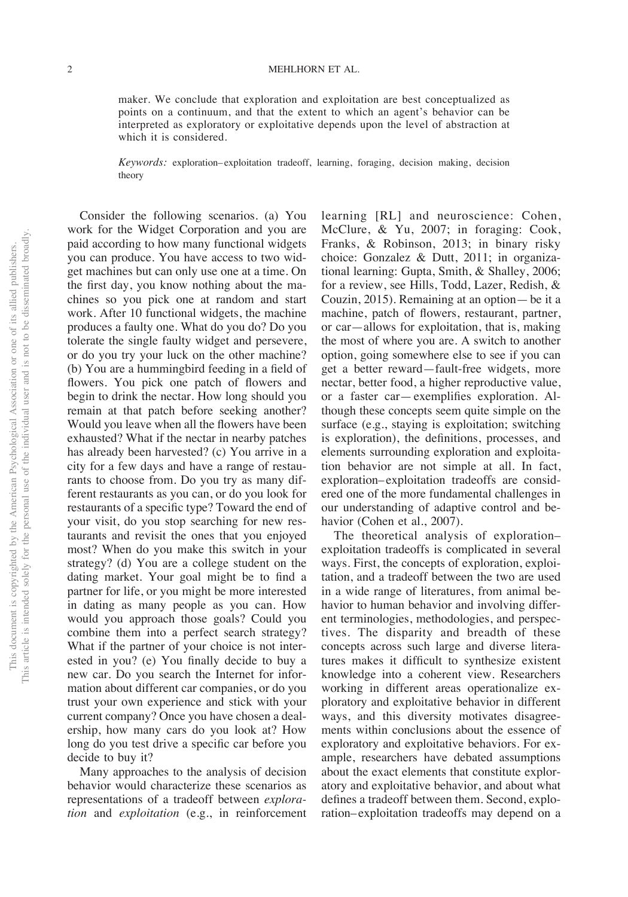maker. We conclude that exploration and exploitation are best conceptualized as points on a continuum, and that the extent to which an agent's behavior can be interpreted as exploratory or exploitative depends upon the level of abstraction at which it is considered.

*Keywords:* exploration– exploitation tradeoff, learning, foraging, decision making, decision theory

Consider the following scenarios. (a) You work for the Widget Corporation and you are paid according to how many functional widgets you can produce. You have access to two widget machines but can only use one at a time. On the first day, you know nothing about the machines so you pick one at random and start work. After 10 functional widgets, the machine produces a faulty one. What do you do? Do you tolerate the single faulty widget and persevere, or do you try your luck on the other machine? (b) You are a hummingbird feeding in a field of flowers. You pick one patch of flowers and begin to drink the nectar. How long should you remain at that patch before seeking another? Would you leave when all the flowers have been exhausted? What if the nectar in nearby patches has already been harvested? (c) You arrive in a city for a few days and have a range of restaurants to choose from. Do you try as many different restaurants as you can, or do you look for restaurants of a specific type? Toward the end of your visit, do you stop searching for new restaurants and revisit the ones that you enjoyed most? When do you make this switch in your strategy? (d) You are a college student on the dating market. Your goal might be to find a partner for life, or you might be more interested in dating as many people as you can. How would you approach those goals? Could you combine them into a perfect search strategy? What if the partner of your choice is not interested in you? (e) You finally decide to buy a new car. Do you search the Internet for information about different car companies, or do you trust your own experience and stick with your current company? Once you have chosen a dealership, how many cars do you look at? How long do you test drive a specific car before you decide to buy it?

Many approaches to the analysis of decision behavior would characterize these scenarios as representations of a tradeoff between *exploration* and *exploitation* (e.g., in reinforcement learning [RL] and neuroscience: Cohen, McClure, & Yu, 2007; in foraging: Cook, Franks, & Robinson, 2013; in binary risky choice: Gonzalez & Dutt, 2011; in organizational learning: Gupta, Smith, & Shalley, 2006; for a review, see Hills, Todd, Lazer, Redish, & Couzin, 2015). Remaining at an option— be it a machine, patch of flowers, restaurant, partner, or car—allows for exploitation, that is, making the most of where you are. A switch to another option, going somewhere else to see if you can get a better reward—fault-free widgets, more nectar, better food, a higher reproductive value, or a faster car— exemplifies exploration. Although these concepts seem quite simple on the surface (e.g., staying is exploitation; switching is exploration), the definitions, processes, and elements surrounding exploration and exploitation behavior are not simple at all. In fact, exploration– exploitation tradeoffs are considered one of the more fundamental challenges in our understanding of adaptive control and behavior (Cohen et al., 2007).

The theoretical analysis of exploration– exploitation tradeoffs is complicated in several ways. First, the concepts of exploration, exploitation, and a tradeoff between the two are used in a wide range of literatures, from animal behavior to human behavior and involving different terminologies, methodologies, and perspectives. The disparity and breadth of these concepts across such large and diverse literatures makes it difficult to synthesize existent knowledge into a coherent view. Researchers working in different areas operationalize exploratory and exploitative behavior in different ways, and this diversity motivates disagreements within conclusions about the essence of exploratory and exploitative behaviors. For example, researchers have debated assumptions about the exact elements that constitute exploratory and exploitative behavior, and about what defines a tradeoff between them. Second, exploration– exploitation tradeoffs may depend on a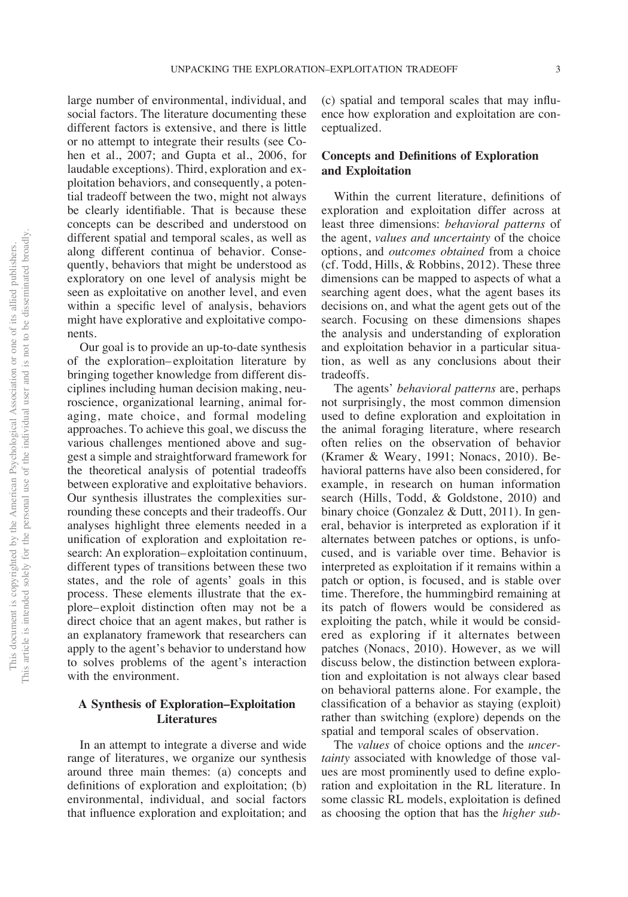large number of environmental, individual, and social factors. The literature documenting these different factors is extensive, and there is little or no attempt to integrate their results (see Cohen et al., 2007; and Gupta et al., 2006, for laudable exceptions). Third, exploration and exploitation behaviors, and consequently, a potential tradeoff between the two, might not always be clearly identifiable. That is because these concepts can be described and understood on different spatial and temporal scales, as well as along different continua of behavior. Consequently, behaviors that might be understood as exploratory on one level of analysis might be seen as exploitative on another level, and even within a specific level of analysis, behaviors might have explorative and exploitative components.

Our goal is to provide an up-to-date synthesis of the exploration– exploitation literature by bringing together knowledge from different disciplines including human decision making, neuroscience, organizational learning, animal foraging, mate choice, and formal modeling approaches. To achieve this goal, we discuss the various challenges mentioned above and suggest a simple and straightforward framework for the theoretical analysis of potential tradeoffs between explorative and exploitative behaviors. Our synthesis illustrates the complexities surrounding these concepts and their tradeoffs. Our analyses highlight three elements needed in a unification of exploration and exploitation research: An exploration–exploitation continuum, different types of transitions between these two states, and the role of agents' goals in this process. These elements illustrate that the explore– exploit distinction often may not be a direct choice that an agent makes, but rather is an explanatory framework that researchers can apply to the agent's behavior to understand how to solves problems of the agent's interaction with the environment.

#### **A Synthesis of Exploration–Exploitation Literatures**

In an attempt to integrate a diverse and wide range of literatures, we organize our synthesis around three main themes: (a) concepts and definitions of exploration and exploitation; (b) environmental, individual, and social factors that influence exploration and exploitation; and (c) spatial and temporal scales that may influence how exploration and exploitation are conceptualized.

#### **Concepts and Definitions of Exploration and Exploitation**

Within the current literature, definitions of exploration and exploitation differ across at least three dimensions: *behavioral patterns* of the agent, *values and uncertainty* of the choice options, and *outcomes obtained* from a choice (cf. Todd, Hills, & Robbins, 2012). These three dimensions can be mapped to aspects of what a searching agent does, what the agent bases its decisions on, and what the agent gets out of the search. Focusing on these dimensions shapes the analysis and understanding of exploration and exploitation behavior in a particular situation, as well as any conclusions about their tradeoffs.

The agents' *behavioral patterns* are, perhaps not surprisingly, the most common dimension used to define exploration and exploitation in the animal foraging literature, where research often relies on the observation of behavior (Kramer & Weary, 1991; Nonacs, 2010). Behavioral patterns have also been considered, for example, in research on human information search (Hills, Todd, & Goldstone, 2010) and binary choice (Gonzalez & Dutt, 2011). In general, behavior is interpreted as exploration if it alternates between patches or options, is unfocused, and is variable over time. Behavior is interpreted as exploitation if it remains within a patch or option, is focused, and is stable over time. Therefore, the hummingbird remaining at its patch of flowers would be considered as exploiting the patch, while it would be considered as exploring if it alternates between patches (Nonacs, 2010). However, as we will discuss below, the distinction between exploration and exploitation is not always clear based on behavioral patterns alone. For example, the classification of a behavior as staying (exploit) rather than switching (explore) depends on the spatial and temporal scales of observation.

The *values* of choice options and the *uncertainty* associated with knowledge of those values are most prominently used to define exploration and exploitation in the RL literature. In some classic RL models, exploitation is defined as choosing the option that has the *higher sub-*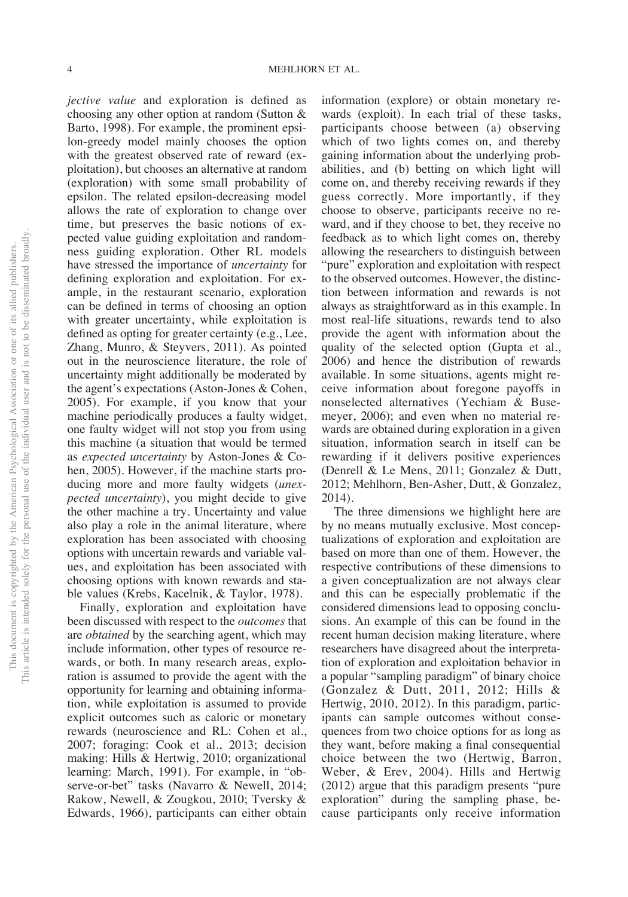*jective value* and exploration is defined as choosing any other option at random (Sutton & Barto, 1998). For example, the prominent epsilon-greedy model mainly chooses the option with the greatest observed rate of reward (exploitation), but chooses an alternative at random (exploration) with some small probability of epsilon. The related epsilon-decreasing model allows the rate of exploration to change over time, but preserves the basic notions of expected value guiding exploitation and randomness guiding exploration. Other RL models have stressed the importance of *uncertainty* for defining exploration and exploitation. For example, in the restaurant scenario, exploration can be defined in terms of choosing an option with greater uncertainty, while exploitation is defined as opting for greater certainty (e.g., Lee, Zhang, Munro, & Steyvers, 2011). As pointed out in the neuroscience literature, the role of uncertainty might additionally be moderated by the agent's expectations (Aston-Jones & Cohen, 2005). For example, if you know that your machine periodically produces a faulty widget, one faulty widget will not stop you from using this machine (a situation that would be termed as *expected uncertainty* by Aston-Jones & Cohen, 2005). However, if the machine starts producing more and more faulty widgets (*unexpected uncertainty*), you might decide to give the other machine a try. Uncertainty and value also play a role in the animal literature, where exploration has been associated with choosing options with uncertain rewards and variable values, and exploitation has been associated with choosing options with known rewards and stable values (Krebs, Kacelnik, & Taylor, 1978).

Finally, exploration and exploitation have been discussed with respect to the *outcomes* that are *obtained* by the searching agent, which may include information, other types of resource rewards, or both. In many research areas, exploration is assumed to provide the agent with the opportunity for learning and obtaining information, while exploitation is assumed to provide explicit outcomes such as caloric or monetary rewards (neuroscience and RL: Cohen et al., 2007; foraging: Cook et al., 2013; decision making: Hills & Hertwig, 2010; organizational learning: March, 1991). For example, in "observe-or-bet" tasks (Navarro & Newell, 2014; Rakow, Newell, & Zougkou, 2010; Tversky & Edwards, 1966), participants can either obtain

information (explore) or obtain monetary rewards (exploit). In each trial of these tasks, participants choose between (a) observing which of two lights comes on, and thereby gaining information about the underlying probabilities, and (b) betting on which light will come on, and thereby receiving rewards if they guess correctly. More importantly, if they choose to observe, participants receive no reward, and if they choose to bet, they receive no feedback as to which light comes on, thereby allowing the researchers to distinguish between "pure" exploration and exploitation with respect to the observed outcomes. However, the distinction between information and rewards is not always as straightforward as in this example. In most real-life situations, rewards tend to also provide the agent with information about the quality of the selected option (Gupta et al., 2006) and hence the distribution of rewards available. In some situations, agents might receive information about foregone payoffs in nonselected alternatives (Yechiam & Busemeyer, 2006); and even when no material rewards are obtained during exploration in a given situation, information search in itself can be rewarding if it delivers positive experiences (Denrell & Le Mens, 2011; Gonzalez & Dutt, 2012; Mehlhorn, Ben-Asher, Dutt, & Gonzalez, 2014).

The three dimensions we highlight here are by no means mutually exclusive. Most conceptualizations of exploration and exploitation are based on more than one of them. However, the respective contributions of these dimensions to a given conceptualization are not always clear and this can be especially problematic if the considered dimensions lead to opposing conclusions. An example of this can be found in the recent human decision making literature, where researchers have disagreed about the interpretation of exploration and exploitation behavior in a popular "sampling paradigm" of binary choice (Gonzalez & Dutt, 2011, 2012; Hills & Hertwig, 2010, 2012). In this paradigm, participants can sample outcomes without consequences from two choice options for as long as they want, before making a final consequential choice between the two (Hertwig, Barron, Weber, & Erev, 2004). Hills and Hertwig (2012) argue that this paradigm presents "pure exploration" during the sampling phase, because participants only receive information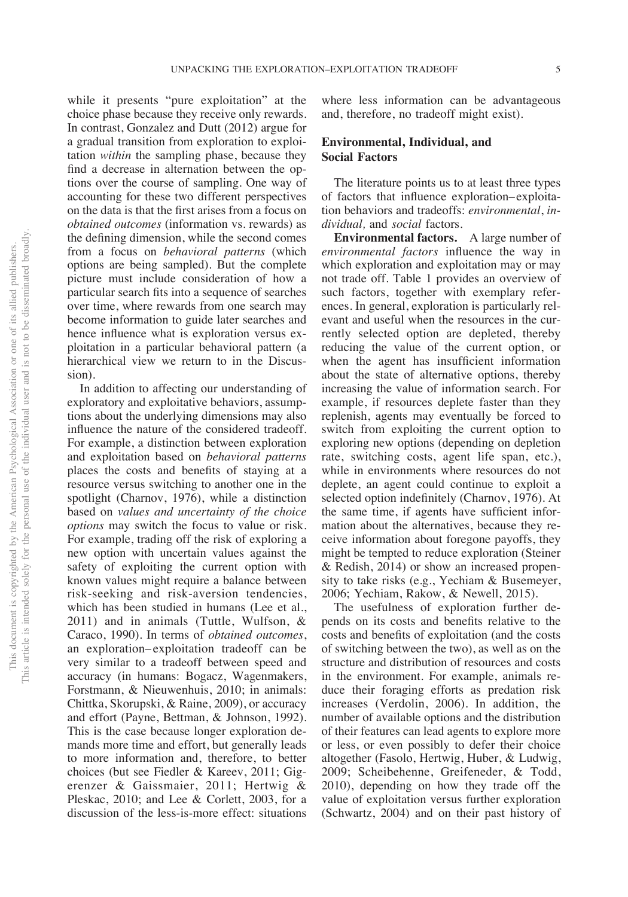while it presents "pure exploitation" at the choice phase because they receive only rewards. In contrast, Gonzalez and Dutt (2012) argue for a gradual transition from exploration to exploitation *within* the sampling phase, because they find a decrease in alternation between the options over the course of sampling. One way of accounting for these two different perspectives on the data is that the first arises from a focus on *obtained outcomes* (information vs. rewards) as the defining dimension, while the second comes from a focus on *behavioral patterns* (which options are being sampled). But the complete picture must include consideration of how a particular search fits into a sequence of searches over time, where rewards from one search may become information to guide later searches and hence influence what is exploration versus exploitation in a particular behavioral pattern (a hierarchical view we return to in the Discussion).

In addition to affecting our understanding of exploratory and exploitative behaviors, assumptions about the underlying dimensions may also influence the nature of the considered tradeoff. For example, a distinction between exploration and exploitation based on *behavioral patterns* places the costs and benefits of staying at a resource versus switching to another one in the spotlight (Charnov, 1976), while a distinction based on *values and uncertainty of the choice options* may switch the focus to value or risk. For example, trading off the risk of exploring a new option with uncertain values against the safety of exploiting the current option with known values might require a balance between risk-seeking and risk-aversion tendencies, which has been studied in humans (Lee et al., 2011) and in animals (Tuttle, Wulfson, & Caraco, 1990). In terms of *obtained outcomes*, an exploration– exploitation tradeoff can be very similar to a tradeoff between speed and accuracy (in humans: Bogacz, Wagenmakers, Forstmann, & Nieuwenhuis, 2010; in animals: Chittka, Skorupski, & Raine, 2009), or accuracy and effort (Payne, Bettman, & Johnson, 1992). This is the case because longer exploration demands more time and effort, but generally leads to more information and, therefore, to better choices (but see Fiedler & Kareev, 2011; Gigerenzer & Gaissmaier, 2011; Hertwig & Pleskac, 2010; and Lee & Corlett, 2003, for a discussion of the less-is-more effect: situations

where less information can be advantageous and, therefore, no tradeoff might exist).

#### **Environmental, Individual, and Social Factors**

The literature points us to at least three types of factors that influence exploration– exploitation behaviors and tradeoffs: *environmental*, *individual,* and *social* factors.

**Environmental factors.** A large number of *environmental factors* influence the way in which exploration and exploitation may or may not trade off. Table 1 provides an overview of such factors, together with exemplary references. In general, exploration is particularly relevant and useful when the resources in the currently selected option are depleted, thereby reducing the value of the current option, or when the agent has insufficient information about the state of alternative options, thereby increasing the value of information search. For example, if resources deplete faster than they replenish, agents may eventually be forced to switch from exploiting the current option to exploring new options (depending on depletion rate, switching costs, agent life span, etc.), while in environments where resources do not deplete, an agent could continue to exploit a selected option indefinitely (Charnov, 1976). At the same time, if agents have sufficient information about the alternatives, because they receive information about foregone payoffs, they might be tempted to reduce exploration (Steiner & Redish, 2014) or show an increased propensity to take risks (e.g., Yechiam & Busemeyer, 2006; Yechiam, Rakow, & Newell, 2015).

The usefulness of exploration further depends on its costs and benefits relative to the costs and benefits of exploitation (and the costs of switching between the two), as well as on the structure and distribution of resources and costs in the environment. For example, animals reduce their foraging efforts as predation risk increases (Verdolin, 2006). In addition, the number of available options and the distribution of their features can lead agents to explore more or less, or even possibly to defer their choice altogether (Fasolo, Hertwig, Huber, & Ludwig, 2009; Scheibehenne, Greifeneder, & Todd, 2010), depending on how they trade off the value of exploitation versus further exploration (Schwartz, 2004) and on their past history of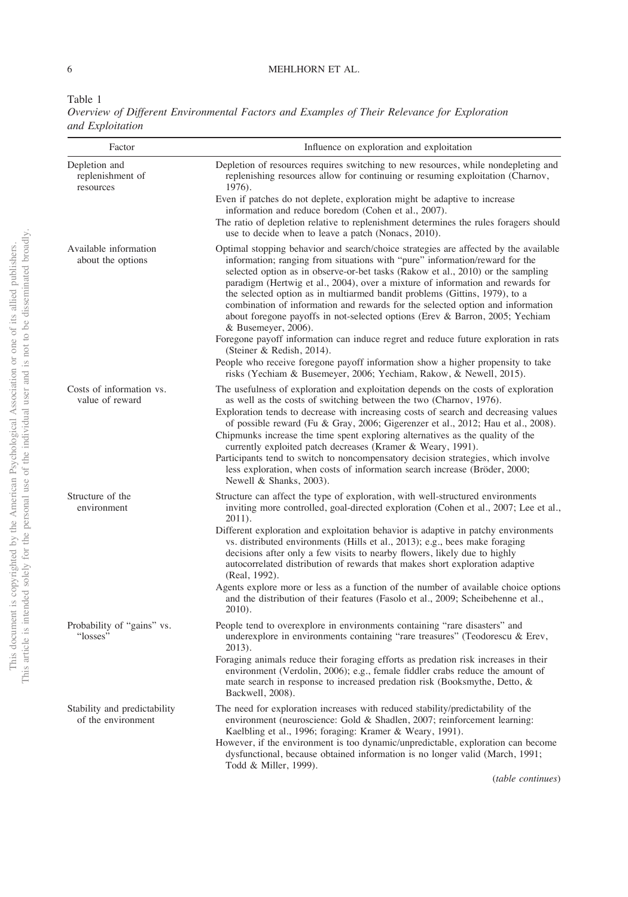#### 6 MEHLHORN ET AL.

Table 1

*Overview of Different Environmental Factors and Examples of Their Relevance for Exploration and Exploitation*

| Factor                                             | Influence on exploration and exploitation                                                                                                                                                                                                                                                                                                                                                                                                                                                                                                                                                                       |
|----------------------------------------------------|-----------------------------------------------------------------------------------------------------------------------------------------------------------------------------------------------------------------------------------------------------------------------------------------------------------------------------------------------------------------------------------------------------------------------------------------------------------------------------------------------------------------------------------------------------------------------------------------------------------------|
| Depletion and<br>replenishment of<br>resources     | Depletion of resources requires switching to new resources, while nondepleting and<br>replenishing resources allow for continuing or resuming exploitation (Charnov,<br>1976).                                                                                                                                                                                                                                                                                                                                                                                                                                  |
|                                                    | Even if patches do not deplete, exploration might be adaptive to increase<br>information and reduce boredom (Cohen et al., 2007).<br>The ratio of depletion relative to replenishment determines the rules foragers should                                                                                                                                                                                                                                                                                                                                                                                      |
|                                                    | use to decide when to leave a patch (Nonacs, 2010).                                                                                                                                                                                                                                                                                                                                                                                                                                                                                                                                                             |
| Available information<br>about the options         | Optimal stopping behavior and search/choice strategies are affected by the available<br>information; ranging from situations with "pure" information/reward for the<br>selected option as in observe-or-bet tasks (Rakow et al., 2010) or the sampling<br>paradigm (Hertwig et al., 2004), over a mixture of information and rewards for<br>the selected option as in multiarmed bandit problems (Gittins, 1979), to a<br>combination of information and rewards for the selected option and information<br>about foregone payoffs in not-selected options (Erev & Barron, 2005; Yechiam<br>& Busemeyer, 2006). |
|                                                    | Foregone payoff information can induce regret and reduce future exploration in rats<br>(Steiner & Redish, 2014).                                                                                                                                                                                                                                                                                                                                                                                                                                                                                                |
|                                                    | People who receive foregone payoff information show a higher propensity to take<br>risks (Yechiam & Busemeyer, 2006; Yechiam, Rakow, & Newell, 2015).                                                                                                                                                                                                                                                                                                                                                                                                                                                           |
| Costs of information vs.<br>value of reward        | The usefulness of exploration and exploitation depends on the costs of exploration<br>as well as the costs of switching between the two (Charnov, 1976).<br>Exploration tends to decrease with increasing costs of search and decreasing values<br>of possible reward (Fu & Gray, 2006; Gigerenzer et al., 2012; Hau et al., 2008).<br>Chipmunks increase the time spent exploring alternatives as the quality of the<br>currently exploited patch decreases (Kramer & Weary, 1991).                                                                                                                            |
|                                                    | Participants tend to switch to noncompensatory decision strategies, which involve<br>less exploration, when costs of information search increase (Bröder, 2000;<br>Newell & Shanks, 2003).                                                                                                                                                                                                                                                                                                                                                                                                                      |
| Structure of the<br>environment                    | Structure can affect the type of exploration, with well-structured environments<br>inviting more controlled, goal-directed exploration (Cohen et al., 2007; Lee et al.,<br>$2011$ .                                                                                                                                                                                                                                                                                                                                                                                                                             |
|                                                    | Different exploration and exploitation behavior is adaptive in patchy environments<br>vs. distributed environments (Hills et al., 2013); e.g., bees make foraging<br>decisions after only a few visits to nearby flowers, likely due to highly<br>autocorrelated distribution of rewards that makes short exploration adaptive<br>(Real, 1992).                                                                                                                                                                                                                                                                 |
|                                                    | Agents explore more or less as a function of the number of available choice options<br>and the distribution of their features (Fasolo et al., 2009; Scheibehenne et al.,<br>2010).                                                                                                                                                                                                                                                                                                                                                                                                                              |
| Probability of "gains" vs.<br>"losses"             | People tend to overexplore in environments containing "rare disasters" and<br>under explore in environments containing "rare treasures" (Teodorescu & Erev,<br>2013).                                                                                                                                                                                                                                                                                                                                                                                                                                           |
|                                                    | Foraging animals reduce their foraging efforts as predation risk increases in their<br>environment (Verdolin, 2006); e.g., female fiddler crabs reduce the amount of<br>mate search in response to increased predation risk (Booksmythe, Detto, &<br>Backwell, 2008).                                                                                                                                                                                                                                                                                                                                           |
| Stability and predictability<br>of the environment | The need for exploration increases with reduced stability/predictability of the<br>environment (neuroscience: Gold & Shadlen, 2007; reinforcement learning:<br>Kaelbling et al., 1996; foraging: Kramer & Weary, 1991).<br>However, if the environment is too dynamic/unpredictable, exploration can become<br>dysfunctional, because obtained information is no longer valid (March, 1991;<br>Todd & Miller, 1999).                                                                                                                                                                                            |

(*table continues*)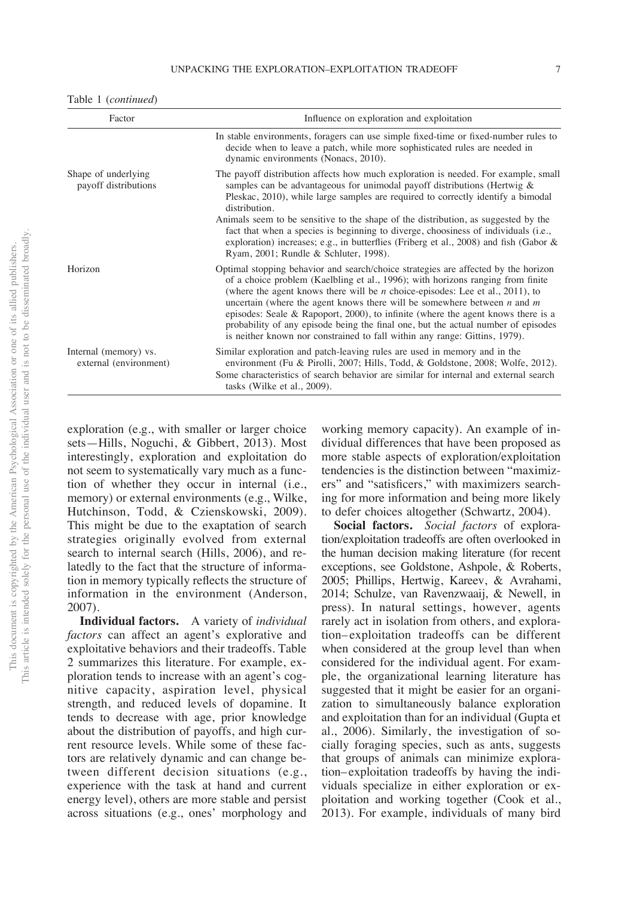| Table 1 (continued) |
|---------------------|
|                     |

| Factor                                          | Influence on exploration and exploitation                                                                                                                                                                                                                                                                                                                                                                                                                                                                                                                                                            |
|-------------------------------------------------|------------------------------------------------------------------------------------------------------------------------------------------------------------------------------------------------------------------------------------------------------------------------------------------------------------------------------------------------------------------------------------------------------------------------------------------------------------------------------------------------------------------------------------------------------------------------------------------------------|
|                                                 | In stable environments, foragers can use simple fixed-time or fixed-number rules to<br>decide when to leave a patch, while more sophisticated rules are needed in<br>dynamic environments (Nonacs, 2010).                                                                                                                                                                                                                                                                                                                                                                                            |
| Shape of underlying<br>payoff distributions     | The payoff distribution affects how much exploration is needed. For example, small<br>samples can be advantageous for unimodal payoff distributions (Hertwig &<br>Pleskac, 2010), while large samples are required to correctly identify a bimodal<br>distribution.                                                                                                                                                                                                                                                                                                                                  |
|                                                 | Animals seem to be sensitive to the shape of the distribution, as suggested by the<br>fact that when a species is beginning to diverge, choosiness of individuals (i.e.,<br>exploration) increases; e.g., in butterflies (Friberg et al., 2008) and fish (Gabor $\&$<br>Ryam, 2001; Rundle & Schluter, 1998).                                                                                                                                                                                                                                                                                        |
| Horizon                                         | Optimal stopping behavior and search/choice strategies are affected by the horizon<br>of a choice problem (Kaelbling et al., 1996); with horizons ranging from finite<br>(where the agent knows there will be <i>n</i> choice-episodes: Lee et al., 2011), to<br>uncertain (where the agent knows there will be somewhere between $n$ and $m$<br>episodes: Seale & Rapoport, 2000), to infinite (where the agent knows there is a<br>probability of any episode being the final one, but the actual number of episodes<br>is neither known nor constrained to fall within any range: Gittins, 1979). |
| Internal (memory) vs.<br>external (environment) | Similar exploration and patch-leaving rules are used in memory and in the<br>environment (Fu & Pirolli, 2007; Hills, Todd, & Goldstone, 2008; Wolfe, 2012).<br>Some characteristics of search behavior are similar for internal and external search<br>tasks (Wilke et al., 2009).                                                                                                                                                                                                                                                                                                                   |

exploration (e.g., with smaller or larger choice sets—Hills, Noguchi, & Gibbert, 2013). Most interestingly, exploration and exploitation do not seem to systematically vary much as a function of whether they occur in internal (i.e., memory) or external environments (e.g., Wilke, Hutchinson, Todd, & Czienskowski, 2009). This might be due to the exaptation of search strategies originally evolved from external search to internal search (Hills, 2006), and relatedly to the fact that the structure of information in memory typically reflects the structure of information in the environment (Anderson, 2007).

**Individual factors.** A variety of *individual factors* can affect an agent's explorative and exploitative behaviors and their tradeoffs. Table 2 summarizes this literature. For example, exploration tends to increase with an agent's cognitive capacity, aspiration level, physical strength, and reduced levels of dopamine. It tends to decrease with age, prior knowledge about the distribution of payoffs, and high current resource levels. While some of these factors are relatively dynamic and can change between different decision situations (e.g., experience with the task at hand and current energy level), others are more stable and persist across situations (e.g., ones' morphology and working memory capacity). An example of individual differences that have been proposed as more stable aspects of exploration/exploitation tendencies is the distinction between "maximizers" and "satisficers," with maximizers searching for more information and being more likely to defer choices altogether (Schwartz, 2004).

**Social factors.** *Social factors* of exploration/exploitation tradeoffs are often overlooked in the human decision making literature (for recent exceptions, see Goldstone, Ashpole, & Roberts, 2005; Phillips, Hertwig, Kareev, & Avrahami, 2014; Schulze, van Ravenzwaaij, & Newell, in press). In natural settings, however, agents rarely act in isolation from others, and exploration– exploitation tradeoffs can be different when considered at the group level than when considered for the individual agent. For example, the organizational learning literature has suggested that it might be easier for an organization to simultaneously balance exploration and exploitation than for an individual (Gupta et al., 2006). Similarly, the investigation of socially foraging species, such as ants, suggests that groups of animals can minimize exploration– exploitation tradeoffs by having the individuals specialize in either exploration or exploitation and working together (Cook et al., 2013). For example, individuals of many bird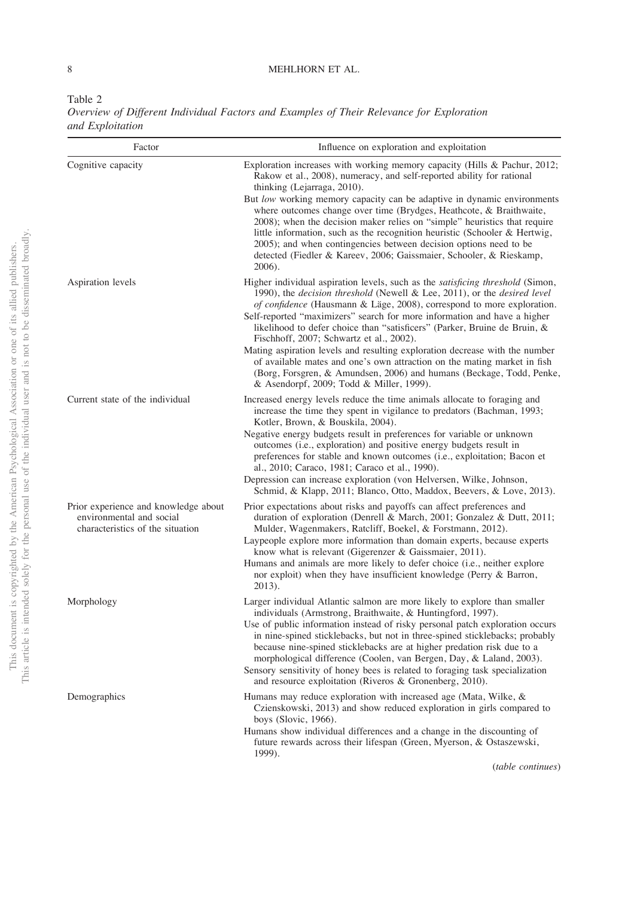#### 8 MEHLHORN ET AL.

| Overview of Different Individual Factors and Examples of Their Relevance for Exploration |
|------------------------------------------------------------------------------------------|
| and Exploitation                                                                         |

Table 2

| Factor                                                                                               | Influence on exploration and exploitation                                                                                                                                                                                                                                                                                                                                                                                                                                                                                                                                                                                                                                                                                                     |
|------------------------------------------------------------------------------------------------------|-----------------------------------------------------------------------------------------------------------------------------------------------------------------------------------------------------------------------------------------------------------------------------------------------------------------------------------------------------------------------------------------------------------------------------------------------------------------------------------------------------------------------------------------------------------------------------------------------------------------------------------------------------------------------------------------------------------------------------------------------|
| Cognitive capacity                                                                                   | Exploration increases with working memory capacity (Hills & Pachur, 2012;<br>Rakow et al., 2008), numeracy, and self-reported ability for rational<br>thinking (Lejarraga, 2010).<br>But low working memory capacity can be adaptive in dynamic environments<br>where outcomes change over time (Brydges, Heathcote, & Braithwaite,<br>2008); when the decision maker relies on "simple" heuristics that require<br>little information, such as the recognition heuristic (Schooler & Hertwig,<br>2005); and when contingencies between decision options need to be<br>detected (Fiedler & Kareev, 2006; Gaissmaier, Schooler, & Rieskamp,<br>2006).                                                                                          |
| Aspiration levels                                                                                    | Higher individual aspiration levels, such as the <i>satisficing threshold</i> (Simon,<br>1990), the <i>decision threshold</i> (Newell & Lee, 2011), or the <i>desired level</i><br>of confidence (Hausmann & Läge, 2008), correspond to more exploration.<br>Self-reported "maximizers" search for more information and have a higher<br>likelihood to defer choice than "satisficers" (Parker, Bruine de Bruin, &<br>Fischhoff, 2007; Schwartz et al., 2002).<br>Mating aspiration levels and resulting exploration decrease with the number<br>of available mates and one's own attraction on the mating market in fish<br>(Borg, Forsgren, & Amundsen, 2006) and humans (Beckage, Todd, Penke,<br>& Asendorpf, 2009; Todd & Miller, 1999). |
| Current state of the individual                                                                      | Increased energy levels reduce the time animals allocate to foraging and<br>increase the time they spent in vigilance to predators (Bachman, 1993;<br>Kotler, Brown, & Bouskila, 2004).<br>Negative energy budgets result in preferences for variable or unknown<br>outcomes (i.e., exploration) and positive energy budgets result in<br>preferences for stable and known outcomes (i.e., exploitation; Bacon et<br>al., 2010; Caraco, 1981; Caraco et al., 1990).<br>Depression can increase exploration (von Helversen, Wilke, Johnson,<br>Schmid, & Klapp, 2011; Blanco, Otto, Maddox, Beevers, & Love, 2013).                                                                                                                            |
| Prior experience and knowledge about<br>environmental and social<br>characteristics of the situation | Prior expectations about risks and payoffs can affect preferences and<br>duration of exploration (Denrell & March, 2001; Gonzalez & Dutt, 2011;<br>Mulder, Wagenmakers, Ratcliff, Boekel, & Forstmann, 2012).<br>Laypeople explore more information than domain experts, because experts<br>know what is relevant (Gigerenzer $\&$ Gaissmaier, 2011).<br>Humans and animals are more likely to defer choice (i.e., neither explore<br>nor exploit) when they have insufficient knowledge (Perry & Barron,<br>2013).                                                                                                                                                                                                                           |
| Morphology                                                                                           | Larger individual Atlantic salmon are more likely to explore than smaller<br>individuals (Armstrong, Braithwaite, & Huntingford, 1997).<br>Use of public information instead of risky personal patch exploration occurs<br>in nine-spined sticklebacks, but not in three-spined sticklebacks; probably<br>because nine-spined sticklebacks are at higher predation risk due to a<br>morphological difference (Coolen, van Bergen, Day, & Laland, 2003).<br>Sensory sensitivity of honey bees is related to foraging task specialization<br>and resource exploitation (Riveros & Gronenberg, 2010).                                                                                                                                            |
| Demographics                                                                                         | Humans may reduce exploration with increased age (Mata, Wilke, $\&$<br>Czienskowski, 2013) and show reduced exploration in girls compared to<br>boys (Slovic, 1966).<br>Humans show individual differences and a change in the discounting of<br>future rewards across their lifespan (Green, Myerson, & Ostaszewski,<br>1999).                                                                                                                                                                                                                                                                                                                                                                                                               |
|                                                                                                      | (table continues)                                                                                                                                                                                                                                                                                                                                                                                                                                                                                                                                                                                                                                                                                                                             |

This document is copyrighted by the American Psychological Association or one of its allied publishers.<br>This article is intended solely for the personal use of the individual user and is not to be disseminated broadly. This article is intended solely for the personal use of the individual user and is not to be disseminated broadly.This document is copyrighted by the American Psychological Association or one of its allied publishers.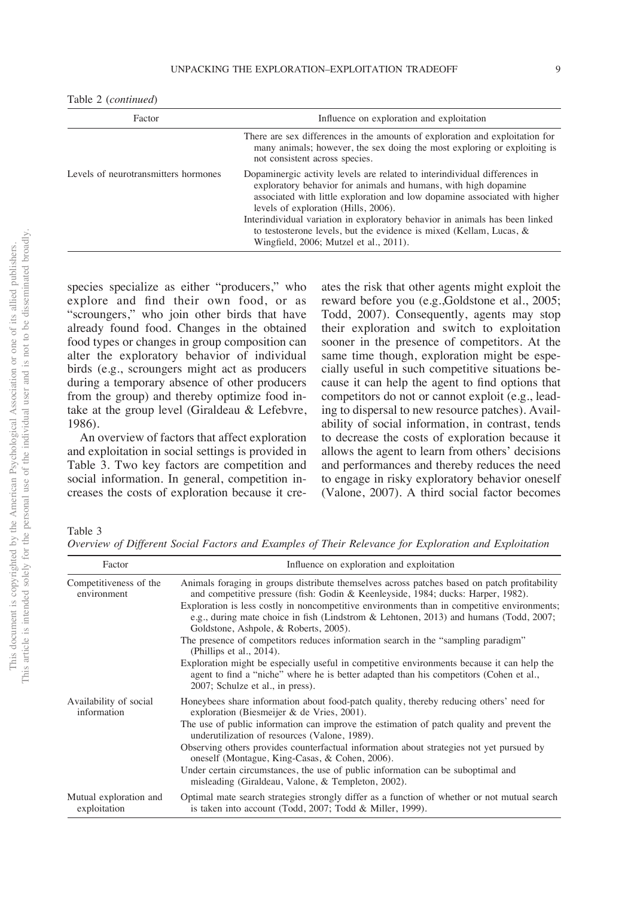|  | Table 2 (continued) |
|--|---------------------|
|--|---------------------|

| Factor                               | Influence on exploration and exploitation                                                                                                                                                                                                                                                                                                                                                                                                                            |
|--------------------------------------|----------------------------------------------------------------------------------------------------------------------------------------------------------------------------------------------------------------------------------------------------------------------------------------------------------------------------------------------------------------------------------------------------------------------------------------------------------------------|
|                                      | There are sex differences in the amounts of exploration and exploitation for<br>many animals; however, the sex doing the most exploring or exploiting is<br>not consistent across species.                                                                                                                                                                                                                                                                           |
| Levels of neurotransmitters hormones | Dopaminergic activity levels are related to interindividual differences in<br>exploratory behavior for animals and humans, with high dopamine<br>associated with little exploration and low dopamine associated with higher<br>levels of exploration (Hills, 2006).<br>Interindividual variation in exploratory behavior in animals has been linked<br>to testosterone levels, but the evidence is mixed (Kellam, Lucas, &<br>Wingfield, 2006; Mutzel et al., 2011). |

species specialize as either "producers," who explore and find their own food, or as "scroungers," who join other birds that have already found food. Changes in the obtained food types or changes in group composition can alter the exploratory behavior of individual birds (e.g., scroungers might act as producers during a temporary absence of other producers from the group) and thereby optimize food intake at the group level (Giraldeau & Lefebvre, 1986).

An overview of factors that affect exploration and exploitation in social settings is provided in Table 3. Two key factors are competition and social information. In general, competition increases the costs of exploration because it cre-

ates the risk that other agents might exploit the reward before you (e.g.,Goldstone et al., 2005; Todd, 2007). Consequently, agents may stop their exploration and switch to exploitation sooner in the presence of competitors. At the same time though, exploration might be especially useful in such competitive situations because it can help the agent to find options that competitors do not or cannot exploit (e.g., leading to dispersal to new resource patches). Availability of social information, in contrast, tends to decrease the costs of exploration because it allows the agent to learn from others' decisions and performances and thereby reduces the need to engage in risky exploratory behavior oneself (Valone, 2007). A third social factor becomes

Table 3

*Overview of Different Social Factors and Examples of Their Relevance for Exploration and Exploitation*

| Factor                                 | Influence on exploration and exploitation                                                                                                                                                                                                                                                                                                                                                                                                                                                                                                                                                                                        |
|----------------------------------------|----------------------------------------------------------------------------------------------------------------------------------------------------------------------------------------------------------------------------------------------------------------------------------------------------------------------------------------------------------------------------------------------------------------------------------------------------------------------------------------------------------------------------------------------------------------------------------------------------------------------------------|
| Competitiveness of the<br>environment  | Animals foraging in groups distribute themselves across patches based on patch profitability<br>and competitive pressure (fish: Godin & Keenleyside, 1984; ducks: Harper, 1982).<br>Exploration is less costly in noncompetitive environments than in competitive environments;<br>e.g., during mate choice in fish (Lindstrom & Lehtonen, 2013) and humans (Todd, 2007;<br>Goldstone, Ashpole, & Roberts, 2005).<br>The presence of competitors reduces information search in the "sampling paradigm"<br>(Phillips et al., 2014).<br>Exploration might be especially useful in competitive environments because it can help the |
|                                        | agent to find a "niche" where he is better adapted than his competitors (Cohen et al.,<br>2007; Schulze et al., in press).                                                                                                                                                                                                                                                                                                                                                                                                                                                                                                       |
| Availability of social<br>information  | Honeybees share information about food-patch quality, thereby reducing others' need for<br>exploration (Biesmeijer & de Vries, 2001).<br>The use of public information can improve the estimation of patch quality and prevent the<br>underutilization of resources (Valone, 1989).                                                                                                                                                                                                                                                                                                                                              |
|                                        | Observing others provides counterfactual information about strategies not yet pursued by<br>oneself (Montague, King-Casas, & Cohen, 2006).<br>Under certain circumstances, the use of public information can be suboptimal and                                                                                                                                                                                                                                                                                                                                                                                                   |
|                                        | misleading (Giraldeau, Valone, & Templeton, 2002).                                                                                                                                                                                                                                                                                                                                                                                                                                                                                                                                                                               |
| Mutual exploration and<br>exploitation | Optimal mate search strategies strongly differ as a function of whether or not mutual search<br>is taken into account (Todd, 2007; Todd & Miller, 1999).                                                                                                                                                                                                                                                                                                                                                                                                                                                                         |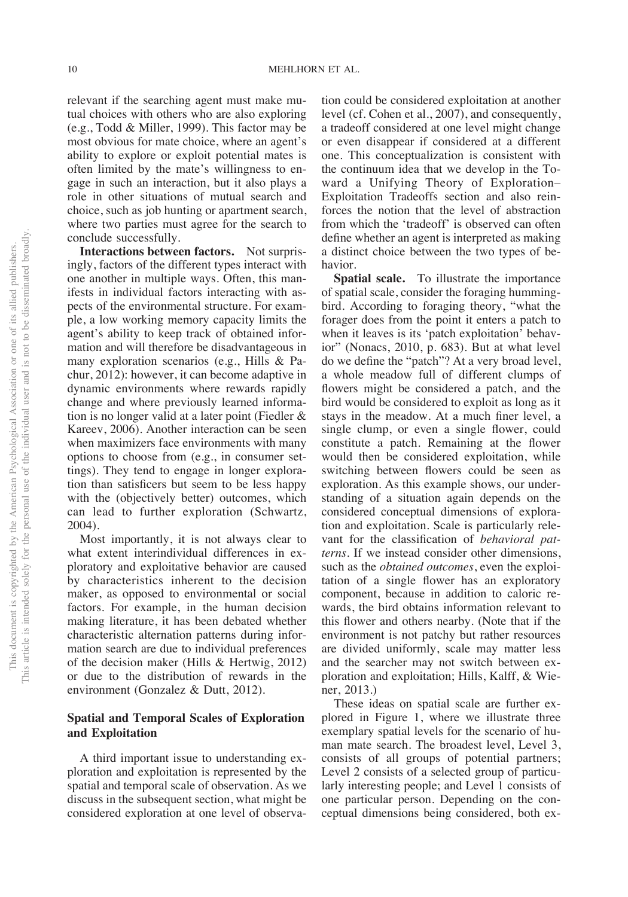relevant if the searching agent must make mutual choices with others who are also exploring (e.g., Todd & Miller, 1999). This factor may be most obvious for mate choice, where an agent's ability to explore or exploit potential mates is often limited by the mate's willingness to engage in such an interaction, but it also plays a role in other situations of mutual search and choice, such as job hunting or apartment search, where two parties must agree for the search to conclude successfully.

**Interactions between factors.** Not surprisingly, factors of the different types interact with one another in multiple ways. Often, this manifests in individual factors interacting with aspects of the environmental structure. For example, a low working memory capacity limits the agent's ability to keep track of obtained information and will therefore be disadvantageous in many exploration scenarios (e.g., Hills & Pachur, 2012): however, it can become adaptive in dynamic environments where rewards rapidly change and where previously learned information is no longer valid at a later point (Fiedler & Kareev, 2006). Another interaction can be seen when maximizers face environments with many options to choose from (e.g., in consumer settings). They tend to engage in longer exploration than satisficers but seem to be less happy with the (objectively better) outcomes, which can lead to further exploration (Schwartz, 2004).

Most importantly, it is not always clear to what extent interindividual differences in exploratory and exploitative behavior are caused by characteristics inherent to the decision maker, as opposed to environmental or social factors. For example, in the human decision making literature, it has been debated whether characteristic alternation patterns during information search are due to individual preferences of the decision maker (Hills & Hertwig, 2012) or due to the distribution of rewards in the environment (Gonzalez & Dutt, 2012).

#### **Spatial and Temporal Scales of Exploration and Exploitation**

A third important issue to understanding exploration and exploitation is represented by the spatial and temporal scale of observation. As we discuss in the subsequent section, what might be considered exploration at one level of observa-

tion could be considered exploitation at another level (cf. Cohen et al., 2007), and consequently, a tradeoff considered at one level might change or even disappear if considered at a different one. This conceptualization is consistent with the continuum idea that we develop in the Toward a Unifying Theory of Exploration– Exploitation Tradeoffs section and also reinforces the notion that the level of abstraction from which the 'tradeoff' is observed can often define whether an agent is interpreted as making a distinct choice between the two types of behavior.

**Spatial scale.** To illustrate the importance of spatial scale, consider the foraging hummingbird. According to foraging theory, "what the forager does from the point it enters a patch to when it leaves is its 'patch exploitation' behavior" (Nonacs, 2010, p. 683). But at what level do we define the "patch"? At a very broad level, a whole meadow full of different clumps of flowers might be considered a patch, and the bird would be considered to exploit as long as it stays in the meadow. At a much finer level, a single clump, or even a single flower, could constitute a patch. Remaining at the flower would then be considered exploitation, while switching between flowers could be seen as exploration. As this example shows, our understanding of a situation again depends on the considered conceptual dimensions of exploration and exploitation. Scale is particularly relevant for the classification of *behavioral patterns*. If we instead consider other dimensions, such as the *obtained outcomes*, even the exploitation of a single flower has an exploratory component, because in addition to caloric rewards, the bird obtains information relevant to this flower and others nearby. (Note that if the environment is not patchy but rather resources are divided uniformly, scale may matter less and the searcher may not switch between exploration and exploitation; Hills, Kalff, & Wiener, 2013.)

These ideas on spatial scale are further explored in Figure 1, where we illustrate three exemplary spatial levels for the scenario of human mate search. The broadest level, Level 3, consists of all groups of potential partners; Level 2 consists of a selected group of particularly interesting people; and Level 1 consists of one particular person. Depending on the conceptual dimensions being considered, both ex-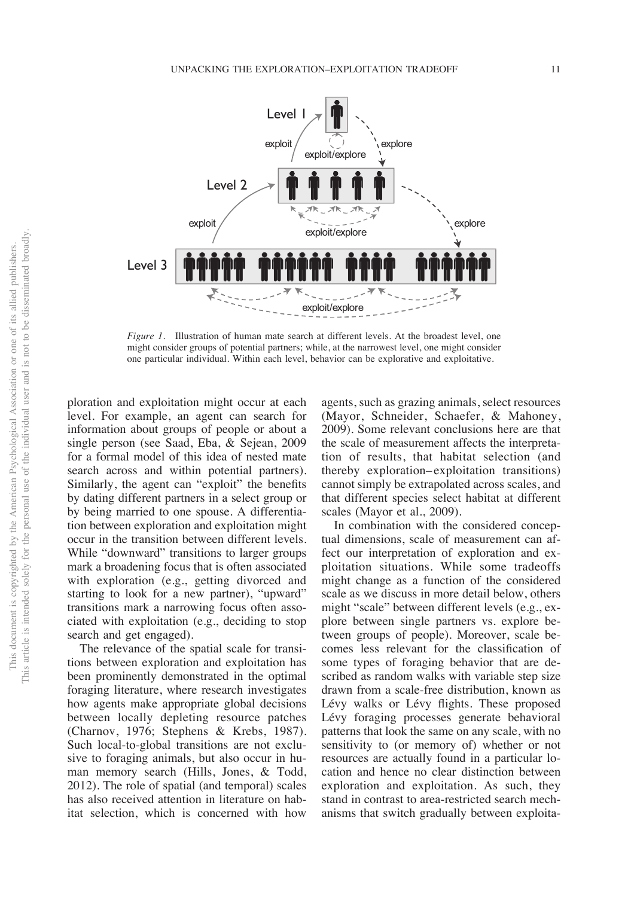

*Figure 1.* Illustration of human mate search at different levels. At the broadest level, one might consider groups of potential partners; while, at the narrowest level, one might consider one particular individual. Within each level, behavior can be explorative and exploitative.

ploration and exploitation might occur at each level. For example, an agent can search for information about groups of people or about a single person (see Saad, Eba, & Sejean, 2009 for a formal model of this idea of nested mate search across and within potential partners). Similarly, the agent can "exploit" the benefits by dating different partners in a select group or by being married to one spouse. A differentiation between exploration and exploitation might occur in the transition between different levels. While "downward" transitions to larger groups mark a broadening focus that is often associated with exploration (e.g., getting divorced and starting to look for a new partner), "upward" transitions mark a narrowing focus often associated with exploitation (e.g., deciding to stop search and get engaged).

The relevance of the spatial scale for transitions between exploration and exploitation has been prominently demonstrated in the optimal foraging literature, where research investigates how agents make appropriate global decisions between locally depleting resource patches (Charnov, 1976; Stephens & Krebs, 1987). Such local-to-global transitions are not exclusive to foraging animals, but also occur in human memory search (Hills, Jones, & Todd, 2012). The role of spatial (and temporal) scales has also received attention in literature on habitat selection, which is concerned with how agents, such as grazing animals, select resources (Mayor, Schneider, Schaefer, & Mahoney, 2009). Some relevant conclusions here are that the scale of measurement affects the interpretation of results, that habitat selection (and thereby exploration– exploitation transitions) cannot simply be extrapolated across scales, and that different species select habitat at different scales (Mayor et al., 2009).

In combination with the considered conceptual dimensions, scale of measurement can affect our interpretation of exploration and exploitation situations. While some tradeoffs might change as a function of the considered scale as we discuss in more detail below, others might "scale" between different levels (e.g., explore between single partners vs. explore between groups of people). Moreover, scale becomes less relevant for the classification of some types of foraging behavior that are described as random walks with variable step size drawn from a scale-free distribution, known as Lévy walks or Lévy flights. These proposed Lévy foraging processes generate behavioral patterns that look the same on any scale, with no sensitivity to (or memory of) whether or not resources are actually found in a particular location and hence no clear distinction between exploration and exploitation. As such, they stand in contrast to area-restricted search mechanisms that switch gradually between exploita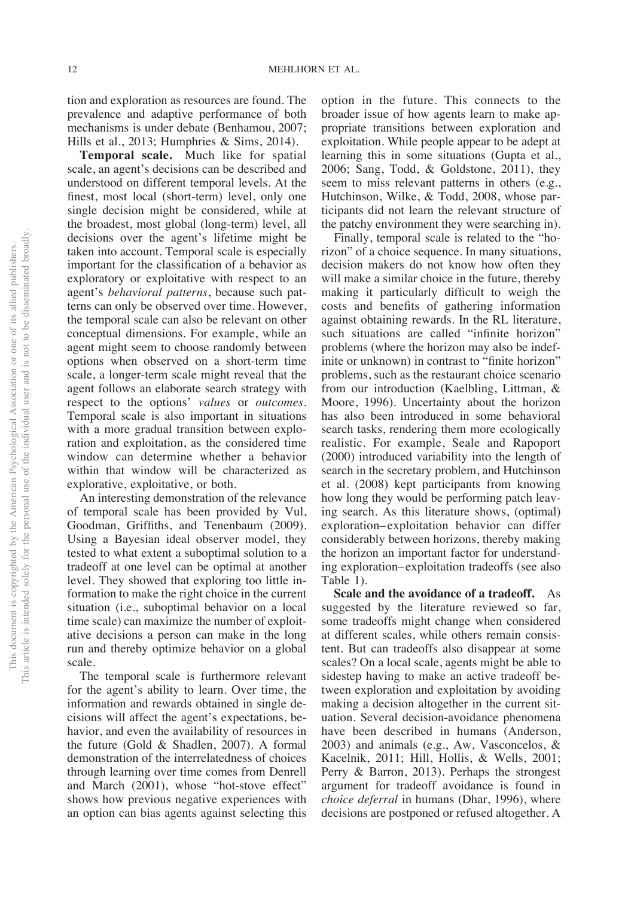tion and exploration as resources are found. The prevalence and adaptive performance of both mechanisms is under debate (Benhamou, 2007; Hills et al., 2013; Humphries & Sims, 2014).

**Temporal scale.** Much like for spatial scale, an agent's decisions can be described and understood on different temporal levels. At the finest, most local (short-term) level, only one single decision might be considered, while at the broadest, most global (long-term) level, all decisions over the agent's lifetime might be taken into account. Temporal scale is especially important for the classification of a behavior as exploratory or exploitative with respect to an agent's *behavioral patterns*, because such patterns can only be observed over time. However, the temporal scale can also be relevant on other conceptual dimensions. For example, while an agent might seem to choose randomly between options when observed on a short-term time scale, a longer-term scale might reveal that the agent follows an elaborate search strategy with respect to the options' *values* or *outcomes*. Temporal scale is also important in situations with a more gradual transition between exploration and exploitation, as the considered time window can determine whether a behavior within that window will be characterized as explorative, exploitative, or both.

An interesting demonstration of the relevance of temporal scale has been provided by Vul, Goodman, Griffiths, and Tenenbaum (2009). Using a Bayesian ideal observer model, they tested to what extent a suboptimal solution to a tradeoff at one level can be optimal at another level. They showed that exploring too little information to make the right choice in the current situation (i.e., suboptimal behavior on a local time scale) can maximize the number of exploitative decisions a person can make in the long run and thereby optimize behavior on a global scale.

The temporal scale is furthermore relevant for the agent's ability to learn. Over time, the information and rewards obtained in single decisions will affect the agent's expectations, behavior, and even the availability of resources in the future (Gold & Shadlen, 2007). A formal demonstration of the interrelatedness of choices through learning over time comes from Denrell and March (2001), whose "hot-stove effect" shows how previous negative experiences with an option can bias agents against selecting this

option in the future. This connects to the broader issue of how agents learn to make appropriate transitions between exploration and exploitation. While people appear to be adept at learning this in some situations (Gupta et al., 2006; Sang, Todd, & Goldstone, 2011), they seem to miss relevant patterns in others (e.g., Hutchinson, Wilke, & Todd, 2008, whose participants did not learn the relevant structure of the patchy environment they were searching in).

Finally, temporal scale is related to the "horizon" of a choice sequence. In many situations, decision makers do not know how often they will make a similar choice in the future, thereby making it particularly difficult to weigh the costs and benefits of gathering information against obtaining rewards. In the RL literature, such situations are called "infinite horizon" problems (where the horizon may also be indefinite or unknown) in contrast to "finite horizon" problems, such as the restaurant choice scenario from our introduction (Kaelbling, Littman, & Moore, 1996). Uncertainty about the horizon has also been introduced in some behavioral search tasks, rendering them more ecologically realistic. For example, Seale and Rapoport (2000) introduced variability into the length of search in the secretary problem, and Hutchinson et al. (2008) kept participants from knowing how long they would be performing patch leaving search. As this literature shows, (optimal) exploration– exploitation behavior can differ considerably between horizons, thereby making the horizon an important factor for understanding exploration– exploitation tradeoffs (see also Table 1).

**Scale and the avoidance of a tradeoff.** As suggested by the literature reviewed so far, some tradeoffs might change when considered at different scales, while others remain consistent. But can tradeoffs also disappear at some scales? On a local scale, agents might be able to sidestep having to make an active tradeoff between exploration and exploitation by avoiding making a decision altogether in the current situation. Several decision-avoidance phenomena have been described in humans (Anderson, 2003) and animals (e.g., Aw, Vasconcelos, & Kacelnik, 2011; Hill, Hollis, & Wells, 2001; Perry & Barron, 2013). Perhaps the strongest argument for tradeoff avoidance is found in *choice deferral* in humans (Dhar, 1996), where decisions are postponed or refused altogether. A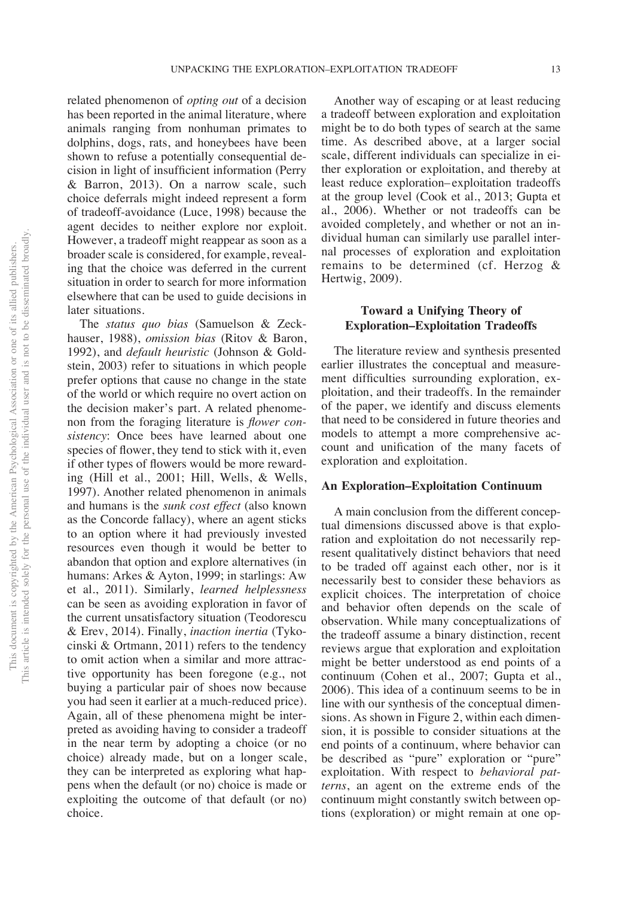related phenomenon of *opting out* of a decision has been reported in the animal literature, where animals ranging from nonhuman primates to dolphins, dogs, rats, and honeybees have been shown to refuse a potentially consequential decision in light of insufficient information (Perry & Barron, 2013). On a narrow scale, such choice deferrals might indeed represent a form of tradeoff-avoidance (Luce, 1998) because the agent decides to neither explore nor exploit. However, a tradeoff might reappear as soon as a broader scale is considered, for example, revealing that the choice was deferred in the current situation in order to search for more information elsewhere that can be used to guide decisions in later situations.

The *status quo bias* (Samuelson & Zeckhauser, 1988), *omission bias* (Ritov & Baron, 1992), and *default heuristic* (Johnson & Goldstein, 2003) refer to situations in which people prefer options that cause no change in the state of the world or which require no overt action on the decision maker's part. A related phenomenon from the foraging literature is *flower consistency*: Once bees have learned about one species of flower, they tend to stick with it, even if other types of flowers would be more rewarding (Hill et al., 2001; Hill, Wells, & Wells, 1997). Another related phenomenon in animals and humans is the *sunk cost effect* (also known as the Concorde fallacy), where an agent sticks to an option where it had previously invested resources even though it would be better to abandon that option and explore alternatives (in humans: Arkes & Ayton, 1999; in starlings: Aw et al., 2011). Similarly, *learned helplessness* can be seen as avoiding exploration in favor of the current unsatisfactory situation (Teodorescu & Erev, 2014). Finally, *inaction inertia* (Tykocinski & Ortmann, 2011) refers to the tendency to omit action when a similar and more attractive opportunity has been foregone (e.g., not buying a particular pair of shoes now because you had seen it earlier at a much-reduced price). Again, all of these phenomena might be interpreted as avoiding having to consider a tradeoff in the near term by adopting a choice (or no choice) already made, but on a longer scale, they can be interpreted as exploring what happens when the default (or no) choice is made or exploiting the outcome of that default (or no) choice.

Another way of escaping or at least reducing a tradeoff between exploration and exploitation might be to do both types of search at the same time. As described above, at a larger social scale, different individuals can specialize in either exploration or exploitation, and thereby at least reduce exploration–exploitation tradeoffs at the group level (Cook et al., 2013; Gupta et al., 2006). Whether or not tradeoffs can be avoided completely, and whether or not an individual human can similarly use parallel internal processes of exploration and exploitation remains to be determined (cf. Herzog & Hertwig, 2009).

#### **Toward a Unifying Theory of Exploration–Exploitation Tradeoffs**

The literature review and synthesis presented earlier illustrates the conceptual and measurement difficulties surrounding exploration, exploitation, and their tradeoffs. In the remainder of the paper, we identify and discuss elements that need to be considered in future theories and models to attempt a more comprehensive account and unification of the many facets of exploration and exploitation.

#### **An Exploration–Exploitation Continuum**

A main conclusion from the different conceptual dimensions discussed above is that exploration and exploitation do not necessarily represent qualitatively distinct behaviors that need to be traded off against each other, nor is it necessarily best to consider these behaviors as explicit choices. The interpretation of choice and behavior often depends on the scale of observation. While many conceptualizations of the tradeoff assume a binary distinction, recent reviews argue that exploration and exploitation might be better understood as end points of a continuum (Cohen et al., 2007; Gupta et al., 2006). This idea of a continuum seems to be in line with our synthesis of the conceptual dimensions. As shown in Figure 2, within each dimension, it is possible to consider situations at the end points of a continuum, where behavior can be described as "pure" exploration or "pure" exploitation. With respect to *behavioral patterns*, an agent on the extreme ends of the continuum might constantly switch between options (exploration) or might remain at one op-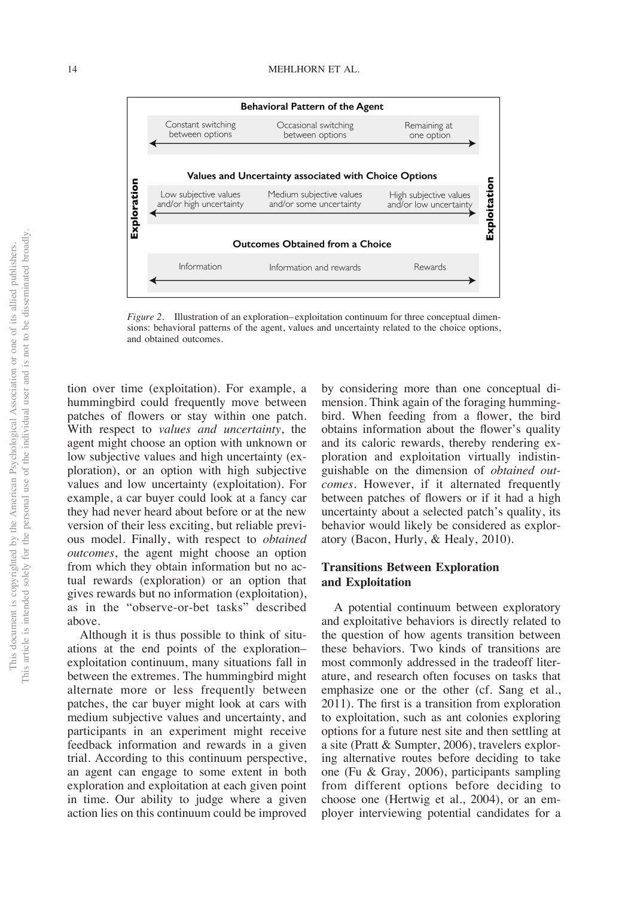

*Figure 2.* Illustration of an exploration–exploitation continuum for three conceptual dimensions: behavioral patterns of the agent, values and uncertainty related to the choice options, and obtained outcomes.

tion over time (exploitation). For example, a hummingbird could frequently move between patches of flowers or stay within one patch. With respect to *values and uncertainty*, the agent might choose an option with unknown or low subjective values and high uncertainty (exploration), or an option with high subjective values and low uncertainty (exploitation). For example, a car buyer could look at a fancy car they had never heard about before or at the new version of their less exciting, but reliable previous model. Finally, with respect to *obtained outcomes*, the agent might choose an option from which they obtain information but no actual rewards (exploration) or an option that gives rewards but no information (exploitation), as in the "observe-or-bet tasks" described above.

Although it is thus possible to think of situations at the end points of the exploration– exploitation continuum, many situations fall in between the extremes. The hummingbird might alternate more or less frequently between patches, the car buyer might look at cars with medium subjective values and uncertainty, and participants in an experiment might receive feedback information and rewards in a given trial. According to this continuum perspective, an agent can engage to some extent in both exploration and exploitation at each given point in time. Our ability to judge where a given action lies on this continuum could be improved by considering more than one conceptual dimension. Think again of the foraging hummingbird. When feeding from a flower, the bird obtains information about the flower's quality and its caloric rewards, thereby rendering exploration and exploitation virtually indistinguishable on the dimension of *obtained outcomes*. However, if it alternated frequently between patches of flowers or if it had a high uncertainty about a selected patch's quality, its behavior would likely be considered as exploratory (Bacon, Hurly, & Healy, 2010).

#### **Transitions Between Exploration and Exploitation**

A potential continuum between exploratory and exploitative behaviors is directly related to the question of how agents transition between these behaviors. Two kinds of transitions are most commonly addressed in the tradeoff literature, and research often focuses on tasks that emphasize one or the other (cf. Sang et al., 2011). The first is a transition from exploration to exploitation, such as ant colonies exploring options for a future nest site and then settling at a site (Pratt & Sumpter, 2006), travelers exploring alternative routes before deciding to take one (Fu & Gray, 2006), participants sampling from different options before deciding to choose one (Hertwig et al., 2004), or an employer interviewing potential candidates for a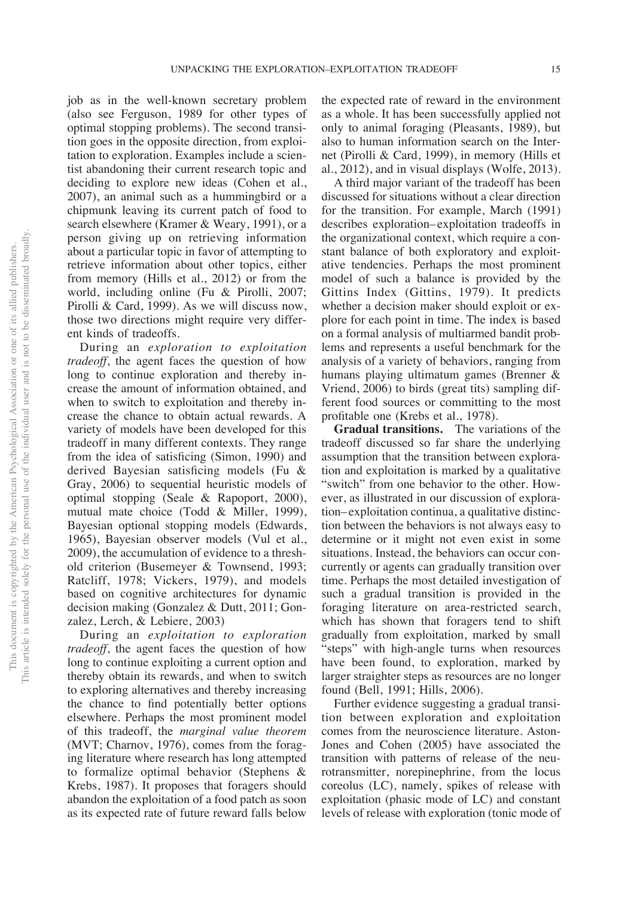job as in the well-known secretary problem (also see Ferguson, 1989 for other types of optimal stopping problems). The second transition goes in the opposite direction, from exploitation to exploration. Examples include a scientist abandoning their current research topic and deciding to explore new ideas (Cohen et al., 2007), an animal such as a hummingbird or a chipmunk leaving its current patch of food to search elsewhere (Kramer & Weary, 1991), or a person giving up on retrieving information about a particular topic in favor of attempting to retrieve information about other topics, either from memory (Hills et al., 2012) or from the world, including online (Fu & Pirolli, 2007; Pirolli & Card, 1999). As we will discuss now, those two directions might require very different kinds of tradeoffs.

During an *exploration to exploitation tradeoff*, the agent faces the question of how long to continue exploration and thereby increase the amount of information obtained, and when to switch to exploitation and thereby increase the chance to obtain actual rewards. A variety of models have been developed for this tradeoff in many different contexts. They range from the idea of satisficing (Simon, 1990) and derived Bayesian satisficing models (Fu & Gray, 2006) to sequential heuristic models of optimal stopping (Seale & Rapoport, 2000), mutual mate choice (Todd & Miller, 1999), Bayesian optional stopping models (Edwards, 1965), Bayesian observer models (Vul et al., 2009), the accumulation of evidence to a threshold criterion (Busemeyer & Townsend, 1993; Ratcliff, 1978; Vickers, 1979), and models based on cognitive architectures for dynamic decision making (Gonzalez & Dutt, 2011; Gonzalez, Lerch, & Lebiere, 2003)

During an *exploitation to exploration tradeoff*, the agent faces the question of how long to continue exploiting a current option and thereby obtain its rewards, and when to switch to exploring alternatives and thereby increasing the chance to find potentially better options elsewhere. Perhaps the most prominent model of this tradeoff, the *marginal value theorem* (MVT; Charnov, 1976), comes from the foraging literature where research has long attempted to formalize optimal behavior (Stephens & Krebs, 1987). It proposes that foragers should abandon the exploitation of a food patch as soon as its expected rate of future reward falls below

the expected rate of reward in the environment as a whole. It has been successfully applied not only to animal foraging (Pleasants, 1989), but also to human information search on the Internet (Pirolli & Card, 1999), in memory (Hills et al., 2012), and in visual displays (Wolfe, 2013).

A third major variant of the tradeoff has been discussed for situations without a clear direction for the transition. For example, March (1991) describes exploration– exploitation tradeoffs in the organizational context, which require a constant balance of both exploratory and exploitative tendencies. Perhaps the most prominent model of such a balance is provided by the Gittins Index (Gittins, 1979). It predicts whether a decision maker should exploit or explore for each point in time. The index is based on a formal analysis of multiarmed bandit problems and represents a useful benchmark for the analysis of a variety of behaviors, ranging from humans playing ultimatum games (Brenner & Vriend, 2006) to birds (great tits) sampling different food sources or committing to the most profitable one (Krebs et al., 1978).

**Gradual transitions.** The variations of the tradeoff discussed so far share the underlying assumption that the transition between exploration and exploitation is marked by a qualitative "switch" from one behavior to the other. However, as illustrated in our discussion of exploration– exploitation continua, a qualitative distinction between the behaviors is not always easy to determine or it might not even exist in some situations. Instead, the behaviors can occur concurrently or agents can gradually transition over time. Perhaps the most detailed investigation of such a gradual transition is provided in the foraging literature on area-restricted search, which has shown that foragers tend to shift gradually from exploitation, marked by small "steps" with high-angle turns when resources have been found, to exploration, marked by larger straighter steps as resources are no longer found (Bell, 1991; Hills, 2006).

Further evidence suggesting a gradual transition between exploration and exploitation comes from the neuroscience literature. Aston-Jones and Cohen (2005) have associated the transition with patterns of release of the neurotransmitter, norepinephrine, from the locus coreolus (LC), namely, spikes of release with exploitation (phasic mode of LC) and constant levels of release with exploration (tonic mode of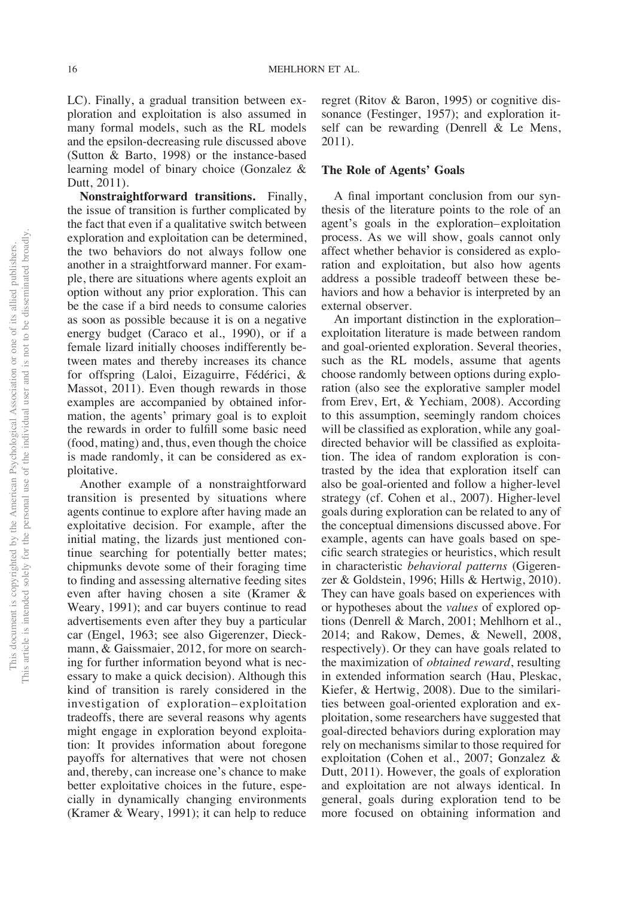LC). Finally, a gradual transition between exploration and exploitation is also assumed in many formal models, such as the RL models and the epsilon-decreasing rule discussed above (Sutton & Barto, 1998) or the instance-based learning model of binary choice (Gonzalez & Dutt, 2011).

**Nonstraightforward transitions.** Finally, the issue of transition is further complicated by the fact that even if a qualitative switch between exploration and exploitation can be determined, the two behaviors do not always follow one another in a straightforward manner. For example, there are situations where agents exploit an option without any prior exploration. This can be the case if a bird needs to consume calories as soon as possible because it is on a negative energy budget (Caraco et al., 1990), or if a female lizard initially chooses indifferently between mates and thereby increases its chance for offspring (Laloi, Eizaguirre, Fédérici, & Massot, 2011). Even though rewards in those examples are accompanied by obtained information, the agents' primary goal is to exploit the rewards in order to fulfill some basic need (food, mating) and, thus, even though the choice is made randomly, it can be considered as exploitative.

Another example of a nonstraightforward transition is presented by situations where agents continue to explore after having made an exploitative decision. For example, after the initial mating, the lizards just mentioned continue searching for potentially better mates; chipmunks devote some of their foraging time to finding and assessing alternative feeding sites even after having chosen a site (Kramer & Weary, 1991); and car buyers continue to read advertisements even after they buy a particular car (Engel, 1963; see also Gigerenzer, Dieckmann, & Gaissmaier, 2012, for more on searching for further information beyond what is necessary to make a quick decision). Although this kind of transition is rarely considered in the investigation of exploration– exploitation tradeoffs, there are several reasons why agents might engage in exploration beyond exploitation: It provides information about foregone payoffs for alternatives that were not chosen and, thereby, can increase one's chance to make better exploitative choices in the future, especially in dynamically changing environments (Kramer & Weary, 1991); it can help to reduce

regret (Ritov & Baron, 1995) or cognitive dissonance (Festinger, 1957); and exploration itself can be rewarding (Denrell & Le Mens, 2011).

#### **The Role of Agents' Goals**

A final important conclusion from our synthesis of the literature points to the role of an agent's goals in the exploration– exploitation process. As we will show, goals cannot only affect whether behavior is considered as exploration and exploitation, but also how agents address a possible tradeoff between these behaviors and how a behavior is interpreted by an external observer.

An important distinction in the exploration– exploitation literature is made between random and goal-oriented exploration. Several theories, such as the RL models, assume that agents choose randomly between options during exploration (also see the explorative sampler model from Erev, Ert, & Yechiam, 2008). According to this assumption, seemingly random choices will be classified as exploration, while any goaldirected behavior will be classified as exploitation. The idea of random exploration is contrasted by the idea that exploration itself can also be goal-oriented and follow a higher-level strategy (cf. Cohen et al., 2007). Higher-level goals during exploration can be related to any of the conceptual dimensions discussed above. For example, agents can have goals based on specific search strategies or heuristics, which result in characteristic *behavioral patterns* (Gigerenzer & Goldstein, 1996; Hills & Hertwig, 2010). They can have goals based on experiences with or hypotheses about the *values* of explored options (Denrell & March, 2001; Mehlhorn et al., 2014; and Rakow, Demes, & Newell, 2008, respectively). Or they can have goals related to the maximization of *obtained reward*, resulting in extended information search (Hau, Pleskac, Kiefer, & Hertwig, 2008). Due to the similarities between goal-oriented exploration and exploitation, some researchers have suggested that goal-directed behaviors during exploration may rely on mechanisms similar to those required for exploitation (Cohen et al., 2007; Gonzalez & Dutt, 2011). However, the goals of exploration and exploitation are not always identical. In general, goals during exploration tend to be more focused on obtaining information and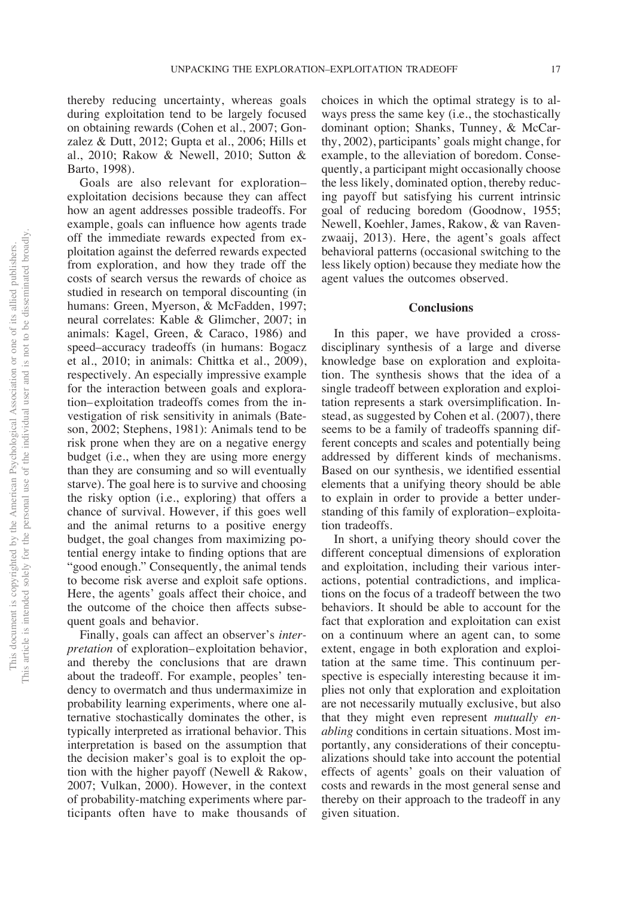thereby reducing uncertainty, whereas goals during exploitation tend to be largely focused on obtaining rewards (Cohen et al., 2007; Gonzalez & Dutt, 2012; Gupta et al., 2006; Hills et al., 2010; Rakow & Newell, 2010; Sutton & Barto, 1998).

Goals are also relevant for exploration– exploitation decisions because they can affect how an agent addresses possible tradeoffs. For example, goals can influence how agents trade off the immediate rewards expected from exploitation against the deferred rewards expected from exploration, and how they trade off the costs of search versus the rewards of choice as studied in research on temporal discounting (in humans: Green, Myerson, & McFadden, 1997; neural correlates: Kable & Glimcher, 2007; in animals: Kagel, Green, & Caraco, 1986) and speed–accuracy tradeoffs (in humans: Bogacz et al., 2010; in animals: Chittka et al., 2009), respectively. An especially impressive example for the interaction between goals and exploration– exploitation tradeoffs comes from the investigation of risk sensitivity in animals (Bateson, 2002; Stephens, 1981): Animals tend to be risk prone when they are on a negative energy budget (i.e., when they are using more energy than they are consuming and so will eventually starve). The goal here is to survive and choosing the risky option (i.e., exploring) that offers a chance of survival. However, if this goes well and the animal returns to a positive energy budget, the goal changes from maximizing potential energy intake to finding options that are "good enough." Consequently, the animal tends to become risk averse and exploit safe options. Here, the agents' goals affect their choice, and the outcome of the choice then affects subsequent goals and behavior.

Finally, goals can affect an observer's *interpretation* of exploration– exploitation behavior, and thereby the conclusions that are drawn about the tradeoff. For example, peoples' tendency to overmatch and thus undermaximize in probability learning experiments, where one alternative stochastically dominates the other, is typically interpreted as irrational behavior. This interpretation is based on the assumption that the decision maker's goal is to exploit the option with the higher payoff (Newell & Rakow, 2007; Vulkan, 2000). However, in the context of probability-matching experiments where participants often have to make thousands of choices in which the optimal strategy is to always press the same key (i.e., the stochastically dominant option; Shanks, Tunney, & McCarthy, 2002), participants' goals might change, for example, to the alleviation of boredom. Consequently, a participant might occasionally choose the less likely, dominated option, thereby reducing payoff but satisfying his current intrinsic goal of reducing boredom (Goodnow, 1955; Newell, Koehler, James, Rakow, & van Ravenzwaaij, 2013). Here, the agent's goals affect behavioral patterns (occasional switching to the less likely option) because they mediate how the agent values the outcomes observed.

#### **Conclusions**

In this paper, we have provided a crossdisciplinary synthesis of a large and diverse knowledge base on exploration and exploitation. The synthesis shows that the idea of a single tradeoff between exploration and exploitation represents a stark oversimplification. Instead, as suggested by Cohen et al. (2007), there seems to be a family of tradeoffs spanning different concepts and scales and potentially being addressed by different kinds of mechanisms. Based on our synthesis, we identified essential elements that a unifying theory should be able to explain in order to provide a better understanding of this family of exploration– exploitation tradeoffs.

In short, a unifying theory should cover the different conceptual dimensions of exploration and exploitation, including their various interactions, potential contradictions, and implications on the focus of a tradeoff between the two behaviors. It should be able to account for the fact that exploration and exploitation can exist on a continuum where an agent can, to some extent, engage in both exploration and exploitation at the same time. This continuum perspective is especially interesting because it implies not only that exploration and exploitation are not necessarily mutually exclusive, but also that they might even represent *mutually enabling* conditions in certain situations. Most importantly, any considerations of their conceptualizations should take into account the potential effects of agents' goals on their valuation of costs and rewards in the most general sense and thereby on their approach to the tradeoff in any given situation.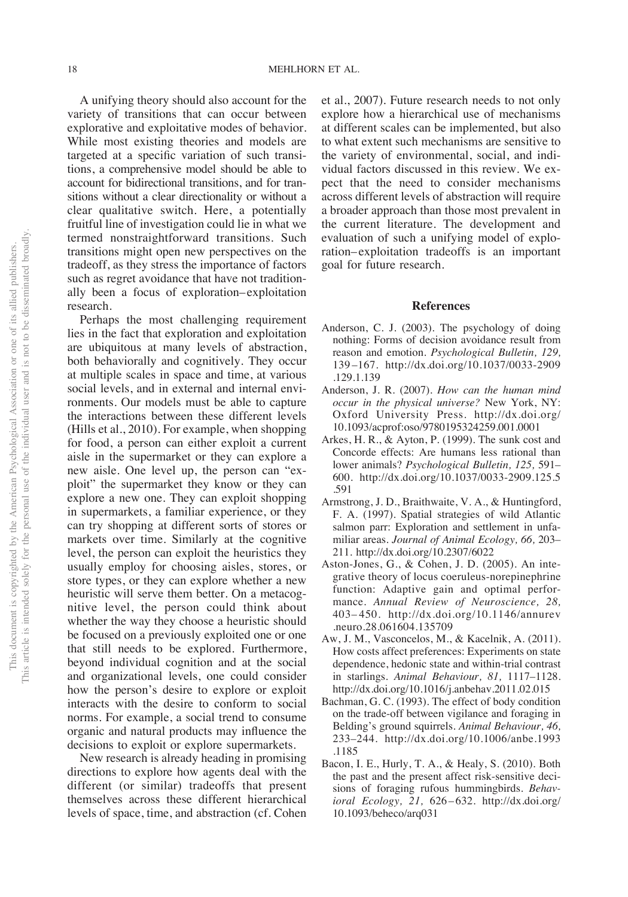A unifying theory should also account for the variety of transitions that can occur between explorative and exploitative modes of behavior. While most existing theories and models are targeted at a specific variation of such transitions, a comprehensive model should be able to account for bidirectional transitions, and for transitions without a clear directionality or without a clear qualitative switch. Here, a potentially fruitful line of investigation could lie in what we termed nonstraightforward transitions. Such transitions might open new perspectives on the tradeoff, as they stress the importance of factors such as regret avoidance that have not traditionally been a focus of exploration– exploitation research.

Perhaps the most challenging requirement lies in the fact that exploration and exploitation are ubiquitous at many levels of abstraction, both behaviorally and cognitively. They occur at multiple scales in space and time, at various social levels, and in external and internal environments. Our models must be able to capture the interactions between these different levels (Hills et al., 2010). For example, when shopping for food, a person can either exploit a current aisle in the supermarket or they can explore a new aisle. One level up, the person can "exploit" the supermarket they know or they can explore a new one. They can exploit shopping in supermarkets, a familiar experience, or they can try shopping at different sorts of stores or markets over time. Similarly at the cognitive level, the person can exploit the heuristics they usually employ for choosing aisles, stores, or store types, or they can explore whether a new heuristic will serve them better. On a metacognitive level, the person could think about whether the way they choose a heuristic should be focused on a previously exploited one or one that still needs to be explored. Furthermore, beyond individual cognition and at the social and organizational levels, one could consider how the person's desire to explore or exploit interacts with the desire to conform to social norms. For example, a social trend to consume organic and natural products may influence the decisions to exploit or explore supermarkets.

New research is already heading in promising directions to explore how agents deal with the different (or similar) tradeoffs that present themselves across these different hierarchical levels of space, time, and abstraction (cf. Cohen et al., 2007). Future research needs to not only explore how a hierarchical use of mechanisms at different scales can be implemented, but also to what extent such mechanisms are sensitive to the variety of environmental, social, and individual factors discussed in this review. We expect that the need to consider mechanisms across different levels of abstraction will require a broader approach than those most prevalent in the current literature. The development and evaluation of such a unifying model of exploration– exploitation tradeoffs is an important goal for future research.

#### **References**

- Anderson, C. J. (2003). The psychology of doing nothing: Forms of decision avoidance result from reason and emotion. *Psychological Bulletin, 129,* 139 –167. http://dx.doi.org/10.1037/0033-2909 .129.1.139
- Anderson, J. R. (2007). *How can the human mind occur in the physical universe?* New York, NY: Oxford University Press. http://dx.doi.org/ 10.1093/acprof:oso/9780195324259.001.0001
- Arkes, H. R., & Ayton, P. (1999). The sunk cost and Concorde effects: Are humans less rational than lower animals? *Psychological Bulletin, 125,* 591– 600. http://dx.doi.org/10.1037/0033-2909.125.5 .591
- Armstrong, J. D., Braithwaite, V. A., & Huntingford, F. A. (1997). Spatial strategies of wild Atlantic salmon parr: Exploration and settlement in unfamiliar areas. *Journal of Animal Ecology, 66,* 203– 211. http://dx.doi.org/10.2307/6022
- Aston-Jones, G., & Cohen, J. D. (2005). An integrative theory of locus coeruleus-norepinephrine function: Adaptive gain and optimal performance. *Annual Review of Neuroscience, 28,* 403– 450. http://dx.doi.org/10.1146/annurev .neuro.28.061604.135709
- Aw, J. M., Vasconcelos, M., & Kacelnik, A. (2011). How costs affect preferences: Experiments on state dependence, hedonic state and within-trial contrast in starlings. *Animal Behaviour, 81,* 1117–1128. http://dx.doi.org/10.1016/j.anbehav.2011.02.015
- Bachman, G. C. (1993). The effect of body condition on the trade-off between vigilance and foraging in Belding's ground squirrels. *Animal Behaviour, 46,* 233–244. http://dx.doi.org/10.1006/anbe.1993 .1185
- Bacon, I. E., Hurly, T. A., & Healy, S. (2010). Both the past and the present affect risk-sensitive decisions of foraging rufous hummingbirds. *Behavioral Ecology, 21,* 626 – 632. http://dx.doi.org/ 10.1093/beheco/arq031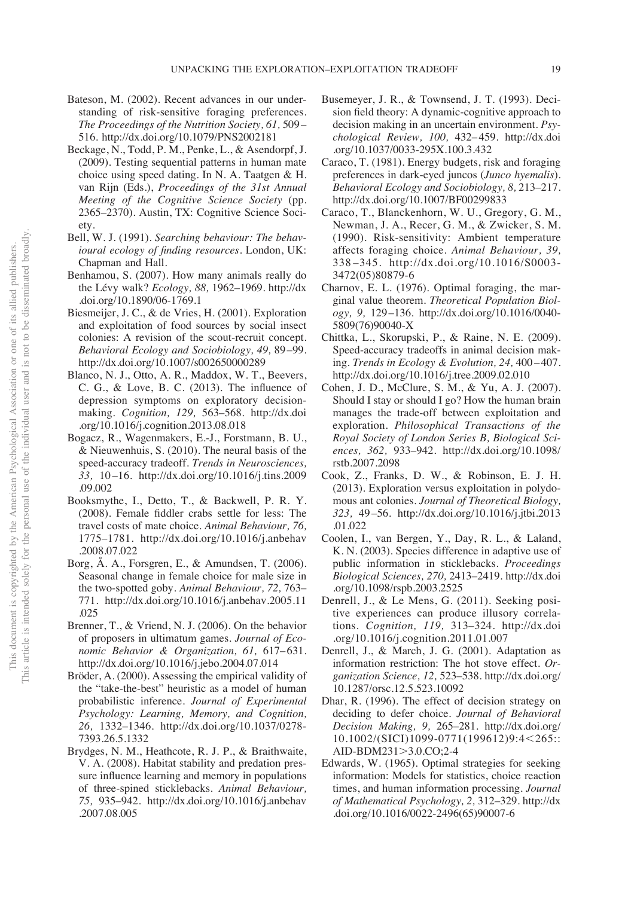- Bateson, M. (2002). Recent advances in our understanding of risk-sensitive foraging preferences. *The Proceedings of the Nutrition Society, 61,* 509 – 516. http://dx.doi.org/10.1079/PNS2002181
- Beckage, N., Todd, P. M., Penke, L., & Asendorpf, J. (2009). Testing sequential patterns in human mate choice using speed dating. In N. A. Taatgen & H. van Rijn (Eds.), *Proceedings of the 31st Annual Meeting of the Cognitive Science Society* (pp. 2365–2370). Austin, TX: Cognitive Science Society.
- Bell, W. J. (1991). *Searching behaviour: The behavioural ecology of finding resources*. London, UK: Chapman and Hall.
- Benhamou, S. (2007). How many animals really do the Lévy walk? *Ecology, 88,* 1962–1969. http://dx .doi.org/10.1890/06-1769.1
- Biesmeijer, J. C., & de Vries, H. (2001). Exploration and exploitation of food sources by social insect colonies: A revision of the scout-recruit concept. *Behavioral Ecology and Sociobiology, 49,* 89 –99. http://dx.doi.org/10.1007/s002650000289
- Blanco, N. J., Otto, A. R., Maddox, W. T., Beevers, C. G., & Love, B. C. (2013). The influence of depression symptoms on exploratory decisionmaking. *Cognition, 129,* 563–568. http://dx.doi .org/10.1016/j.cognition.2013.08.018
- Bogacz, R., Wagenmakers, E.-J., Forstmann, B. U., & Nieuwenhuis, S. (2010). The neural basis of the speed-accuracy tradeoff. *Trends in Neurosciences, 33,* 10 –16. http://dx.doi.org/10.1016/j.tins.2009 .09.002
- Booksmythe, I., Detto, T., & Backwell, P. R. Y. (2008). Female fiddler crabs settle for less: The travel costs of mate choice. *Animal Behaviour, 76,* 1775–1781. http://dx.doi.org/10.1016/j.anbehav .2008.07.022
- Borg, Å. A., Forsgren, E., & Amundsen, T. (2006). Seasonal change in female choice for male size in the two-spotted goby. *Animal Behaviour, 72,* 763– 771. http://dx.doi.org/10.1016/j.anbehav.2005.11 .025
- Brenner, T., & Vriend, N. J. (2006). On the behavior of proposers in ultimatum games. *Journal of Economic Behavior & Organization, 61, 617-631.* http://dx.doi.org/10.1016/j.jebo.2004.07.014
- Bröder, A. (2000). Assessing the empirical validity of the "take-the-best" heuristic as a model of human probabilistic inference. *Journal of Experimental Psychology: Learning, Memory, and Cognition, 26,* 1332–1346. http://dx.doi.org/10.1037/0278- 7393.26.5.1332
- Brydges, N. M., Heathcote, R. J. P., & Braithwaite, V. A. (2008). Habitat stability and predation pressure influence learning and memory in populations of three-spined sticklebacks. *Animal Behaviour, 75,* 935–942. http://dx.doi.org/10.1016/j.anbehav .2007.08.005
- Busemeyer, J. R., & Townsend, J. T. (1993). Decision field theory: A dynamic-cognitive approach to decision making in an uncertain environment. *Psychological Review, 100,* 432– 459. http://dx.doi .org/10.1037/0033-295X.100.3.432
- Caraco, T. (1981). Energy budgets, risk and foraging preferences in dark-eyed juncos (*Junco hyemalis*). *Behavioral Ecology and Sociobiology, 8,* 213–217. http://dx.doi.org/10.1007/BF00299833
- Caraco, T., Blanckenhorn, W. U., Gregory, G. M., Newman, J. A., Recer, G. M., & Zwicker, S. M. (1990). Risk-sensitivity: Ambient temperature affects foraging choice. *Animal Behaviour, 39,* 338 –345. http://dx.doi.org/10.1016/S0003- 3472(05)80879-6
- Charnov, E. L. (1976). Optimal foraging, the marginal value theorem. *Theoretical Population Biology, 9,* 129 –136. http://dx.doi.org/10.1016/0040- 5809(76)90040-X
- Chittka, L., Skorupski, P., & Raine, N. E. (2009). Speed-accuracy tradeoffs in animal decision making. *Trends in Ecology & Evolution, 24,* 400 – 407. http://dx.doi.org/10.1016/j.tree.2009.02.010
- Cohen, J. D., McClure, S. M., & Yu, A. J. (2007). Should I stay or should I go? How the human brain manages the trade-off between exploitation and exploration. *Philosophical Transactions of the Royal Society of London Series B, Biological Sciences, 362,* 933–942. http://dx.doi.org/10.1098/ rstb.2007.2098
- Cook, Z., Franks, D. W., & Robinson, E. J. H. (2013). Exploration versus exploitation in polydomous ant colonies. *Journal of Theoretical Biology, 323,* 49 –56. http://dx.doi.org/10.1016/j.jtbi.2013 .01.022
- Coolen, I., van Bergen, Y., Day, R. L., & Laland, K. N. (2003). Species difference in adaptive use of public information in sticklebacks. *Proceedings Biological Sciences, 270,* 2413–2419. http://dx.doi .org/10.1098/rspb.2003.2525
- Denrell, J., & Le Mens, G. (2011). Seeking positive experiences can produce illusory correlations. *Cognition, 119,* 313–324. http://dx.doi .org/10.1016/j.cognition.2011.01.007
- Denrell, J., & March, J. G. (2001). Adaptation as information restriction: The hot stove effect. *Organization Science, 12,* 523–538. http://dx.doi.org/ 10.1287/orsc.12.5.523.10092
- Dhar, R. (1996). The effect of decision strategy on deciding to defer choice. *Journal of Behavioral Decision Making, 9,* 265–281. http://dx.doi.org/ 10.1002/(SICI)1099-0771(199612)9:4<265:: AID-BDM231>3.0.CO;2-4
- Edwards, W. (1965). Optimal strategies for seeking information: Models for statistics, choice reaction times, and human information processing. *Journal of Mathematical Psychology, 2,* 312–329. http://dx .doi.org/10.1016/0022-2496(65)90007-6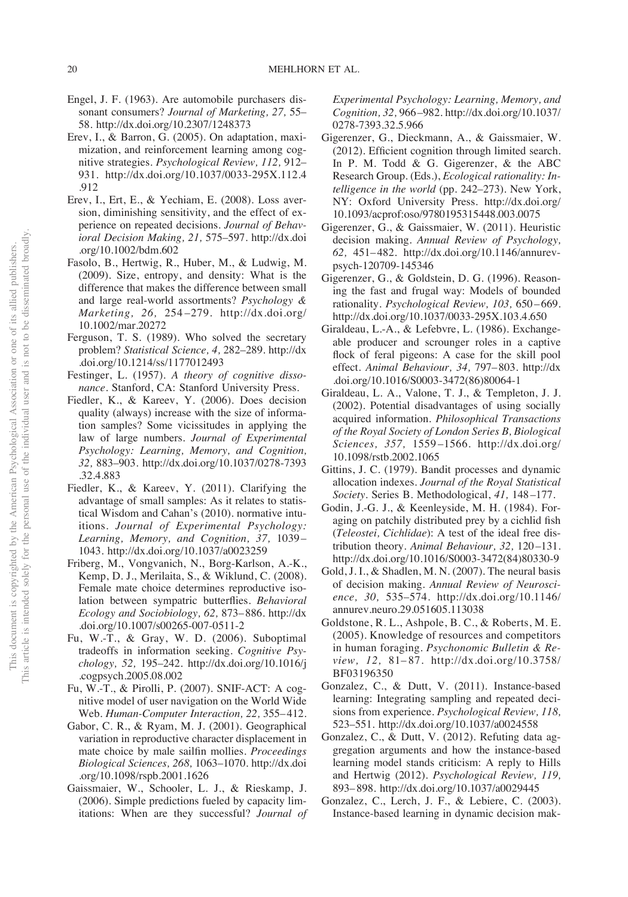- Engel, J. F. (1963). Are automobile purchasers dissonant consumers? *Journal of Marketing, 27,* 55– 58. http://dx.doi.org/10.2307/1248373
- Erev, I., & Barron, G. (2005). On adaptation, maximization, and reinforcement learning among cognitive strategies. *Psychological Review, 112,* 912– 931. http://dx.doi.org/10.1037/0033-295X.112.4 .912
- Erev, I., Ert, E., & Yechiam, E. (2008). Loss aversion, diminishing sensitivity, and the effect of experience on repeated decisions. *Journal of Behavioral Decision Making, 21,* 575–597. http://dx.doi .org/10.1002/bdm.602
- Fasolo, B., Hertwig, R., Huber, M., & Ludwig, M. (2009). Size, entropy, and density: What is the difference that makes the difference between small and large real-world assortments? *Psychology & Marketing, 26,* 254 –279. http://dx.doi.org/ 10.1002/mar.20272
- Ferguson, T. S. (1989). Who solved the secretary problem? *Statistical Science, 4,* 282–289. http://dx .doi.org/10.1214/ss/1177012493
- Festinger, L. (1957). *A theory of cognitive dissonance*. Stanford, CA: Stanford University Press.
- Fiedler, K., & Kareev, Y. (2006). Does decision quality (always) increase with the size of information samples? Some vicissitudes in applying the law of large numbers. *Journal of Experimental Psychology: Learning, Memory, and Cognition, 32,* 883–903. http://dx.doi.org/10.1037/0278-7393 .32.4.883
- Fiedler, K., & Kareev, Y. (2011). Clarifying the advantage of small samples: As it relates to statistical Wisdom and Cahan's (2010). normative intuitions. *Journal of Experimental Psychology: Learning, Memory, and Cognition, 37,* 1039 – 1043. http://dx.doi.org/10.1037/a0023259
- Friberg, M., Vongvanich, N., Borg-Karlson, A.-K., Kemp, D. J., Merilaita, S., & Wiklund, C. (2008). Female mate choice determines reproductive isolation between sympatric butterflies. *Behavioral Ecology and Sociobiology, 62,* 873– 886. http://dx .doi.org/10.1007/s00265-007-0511-2
- Fu, W.-T., & Gray, W. D. (2006). Suboptimal tradeoffs in information seeking. *Cognitive Psychology, 52,* 195–242. http://dx.doi.org/10.1016/j .cogpsych.2005.08.002
- Fu, W.-T., & Pirolli, P. (2007). SNIF-ACT: A cognitive model of user navigation on the World Wide Web. *Human-Computer Interaction, 22,* 355– 412.
- Gabor, C. R., & Ryam, M. J. (2001). Geographical variation in reproductive character displacement in mate choice by male sailfin mollies. *Proceedings Biological Sciences, 268,* 1063–1070. http://dx.doi .org/10.1098/rspb.2001.1626
- Gaissmaier, W., Schooler, L. J., & Rieskamp, J. (2006). Simple predictions fueled by capacity limitations: When are they successful? *Journal of*

*Experimental Psychology: Learning, Memory, and Cognition, 32,* 966 –982. http://dx.doi.org/10.1037/ 0278-7393.32.5.966

- Gigerenzer, G., Dieckmann, A., & Gaissmaier, W. (2012). Efficient cognition through limited search. In P. M. Todd & G. Gigerenzer, & the ABC Research Group. (Eds.), *Ecological rationality: Intelligence in the world* (pp. 242–273). New York, NY: Oxford University Press. http://dx.doi.org/ 10.1093/acprof:oso/9780195315448.003.0075
- Gigerenzer, G., & Gaissmaier, W. (2011). Heuristic decision making. *Annual Review of Psychology, 62,* 451– 482. http://dx.doi.org/10.1146/annurevpsych-120709-145346
- Gigerenzer, G., & Goldstein, D. G. (1996). Reasoning the fast and frugal way: Models of bounded rationality. *Psychological Review, 103,* 650 – 669. http://dx.doi.org/10.1037/0033-295X.103.4.650
- Giraldeau, L.-A., & Lefebvre, L. (1986). Exchangeable producer and scrounger roles in a captive flock of feral pigeons: A case for the skill pool effect. *Animal Behaviour, 34,* 797– 803. http://dx .doi.org/10.1016/S0003-3472(86)80064-1
- Giraldeau, L. A., Valone, T. J., & Templeton, J. J. (2002). Potential disadvantages of using socially acquired information. *Philosophical Transactions of the Royal Society of London Series B, Biological Sciences, 357,* 1559 –1566. http://dx.doi.org/ 10.1098/rstb.2002.1065
- Gittins, J. C. (1979). Bandit processes and dynamic allocation indexes. *Journal of the Royal Statistical Society*. Series B. Methodological, *41,* 148 –177.
- Godin, J.-G. J., & Keenleyside, M. H. (1984). Foraging on patchily distributed prey by a cichlid fish (*Teleostei, Cichlidae*): A test of the ideal free distribution theory. *Animal Behaviour, 32,* 120 –131. http://dx.doi.org/10.1016/S0003-3472(84)80330-9
- Gold, J. I., & Shadlen, M. N. (2007). The neural basis of decision making. *Annual Review of Neuroscience, 30,* 535–574. http://dx.doi.org/10.1146/ annurev.neuro.29.051605.113038
- Goldstone, R. L., Ashpole, B. C., & Roberts, M. E. (2005). Knowledge of resources and competitors in human foraging. *Psychonomic Bulletin & Review, 12,* 81– 87. http://dx.doi.org/10.3758/ BF03196350
- Gonzalez, C., & Dutt, V. (2011). Instance-based learning: Integrating sampling and repeated decisions from experience. *Psychological Review, 118,* 523–551. http://dx.doi.org/10.1037/a0024558
- Gonzalez, C., & Dutt, V. (2012). Refuting data aggregation arguments and how the instance-based learning model stands criticism: A reply to Hills and Hertwig (2012). *Psychological Review, 119,* 893– 898. http://dx.doi.org/10.1037/a0029445
- Gonzalez, C., Lerch, J. F., & Lebiere, C. (2003). Instance-based learning in dynamic decision mak-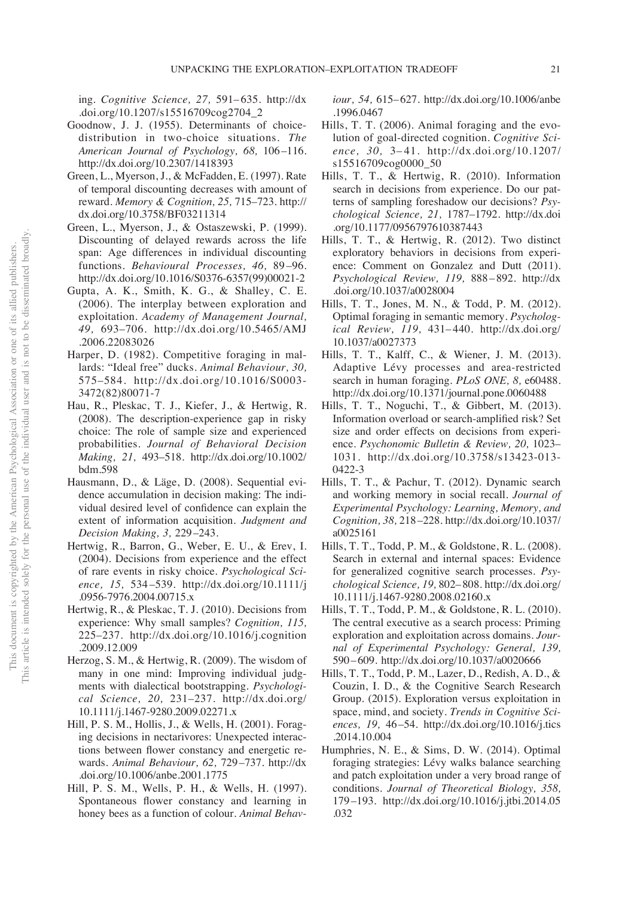ing. *Cognitive Science, 27,* 591– 635. http://dx .doi.org/10.1207/s15516709cog2704\_2

- Goodnow, J. J. (1955). Determinants of choicedistribution in two-choice situations. *The American Journal of Psychology, 68,* 106 –116. http://dx.doi.org/10.2307/1418393
- Green, L., Myerson, J., & McFadden, E. (1997). Rate of temporal discounting decreases with amount of reward. *Memory & Cognition, 25,* 715–723. http:// dx.doi.org/10.3758/BF03211314
- Green, L., Myerson, J., & Ostaszewski, P. (1999). Discounting of delayed rewards across the life span: Age differences in individual discounting functions. *Behavioural Processes, 46,* 89 –96. http://dx.doi.org/10.1016/S0376-6357(99)00021-2
- Gupta, A. K., Smith, K. G., & Shalley, C. E. (2006). The interplay between exploration and exploitation. *Academy of Management Journal, 49,* 693–706. http://dx.doi.org/10.5465/AMJ .2006.22083026
- Harper, D. (1982). Competitive foraging in mallards: "Ideal free" ducks. *Animal Behaviour, 30,* 575–584. http://dx.doi.org/10.1016/S0003- 3472(82)80071-7
- Hau, R., Pleskac, T. J., Kiefer, J., & Hertwig, R. (2008). The description-experience gap in risky choice: The role of sample size and experienced probabilities. *Journal of Behavioral Decision Making, 21,* 493–518. http://dx.doi.org/10.1002/ bdm.598
- Hausmann, D., & Läge, D. (2008). Sequential evidence accumulation in decision making: The individual desired level of confidence can explain the extent of information acquisition. *Judgment and Decision Making, 3,* 229 –243.
- Hertwig, R., Barron, G., Weber, E. U., & Erev, I. (2004). Decisions from experience and the effect of rare events in risky choice. *Psychological Science, 15,* 534 –539. http://dx.doi.org/10.1111/j .0956-7976.2004.00715.x
- Hertwig, R., & Pleskac, T. J. (2010). Decisions from experience: Why small samples? *Cognition, 115,* 225–237. http://dx.doi.org/10.1016/j.cognition .2009.12.009
- Herzog, S. M., & Hertwig, R. (2009). The wisdom of many in one mind: Improving individual judgments with dialectical bootstrapping. *Psychological Science, 20,* 231–237. http://dx.doi.org/ 10.1111/j.1467-9280.2009.02271.x
- Hill, P. S. M., Hollis, J., & Wells, H. (2001). Foraging decisions in nectarivores: Unexpected interactions between flower constancy and energetic rewards. *Animal Behaviour, 62,* 729 –737. http://dx .doi.org/10.1006/anbe.2001.1775
- Hill, P. S. M., Wells, P. H., & Wells, H. (1997). Spontaneous flower constancy and learning in honey bees as a function of colour. *Animal Behav-*

*iour, 54,* 615– 627. http://dx.doi.org/10.1006/anbe .1996.0467

- Hills, T. T. (2006). Animal foraging and the evolution of goal-directed cognition. *Cognitive Science, 30,* 3– 41. http://dx.doi.org/10.1207/ s15516709cog0000\_50
- Hills, T. T., & Hertwig, R. (2010). Information search in decisions from experience. Do our patterns of sampling foreshadow our decisions? *Psychological Science, 21,* 1787–1792. http://dx.doi .org/10.1177/0956797610387443
- Hills, T. T., & Hertwig, R. (2012). Two distinct exploratory behaviors in decisions from experience: Comment on Gonzalez and Dutt (2011). *Psychological Review, 119,* 888 – 892. http://dx .doi.org/10.1037/a0028004
- Hills, T. T., Jones, M. N., & Todd, P. M. (2012). Optimal foraging in semantic memory. *Psychological Review, 119,* 431– 440. http://dx.doi.org/ 10.1037/a0027373
- Hills, T. T., Kalff, C., & Wiener, J. M. (2013). Adaptive Lévy processes and area-restricted search in human foraging. *PLoS ONE, 8,* e60488. http://dx.doi.org/10.1371/journal.pone.0060488
- Hills, T. T., Noguchi, T., & Gibbert, M. (2013). Information overload or search-amplified risk? Set size and order effects on decisions from experience. *Psychonomic Bulletin & Review, 20,* 1023– 1031. http://dx.doi.org/10.3758/s13423-013- 0422-3
- Hills, T. T., & Pachur, T. (2012). Dynamic search and working memory in social recall. *Journal of Experimental Psychology: Learning, Memory, and Cognition, 38,* 218 –228. http://dx.doi.org/10.1037/ a0025161
- Hills, T. T., Todd, P. M., & Goldstone, R. L. (2008). Search in external and internal spaces: Evidence for generalized cognitive search processes. *Psychological Science, 19,* 802– 808. http://dx.doi.org/ 10.1111/j.1467-9280.2008.02160.x
- Hills, T. T., Todd, P. M., & Goldstone, R. L. (2010). The central executive as a search process: Priming exploration and exploitation across domains. *Journal of Experimental Psychology: General, 139,* 590 – 609. http://dx.doi.org/10.1037/a0020666
- Hills, T. T., Todd, P. M., Lazer, D., Redish, A. D., & Couzin, I. D., & the Cognitive Search Research Group. (2015). Exploration versus exploitation in space, mind, and society. *Trends in Cognitive Sciences, 19,* 46 –54. http://dx.doi.org/10.1016/j.tics .2014.10.004
- Humphries, N. E., & Sims, D. W. (2014). Optimal foraging strategies: Lévy walks balance searching and patch exploitation under a very broad range of conditions. *Journal of Theoretical Biology, 358,* 179 –193. http://dx.doi.org/10.1016/j.jtbi.2014.05 .032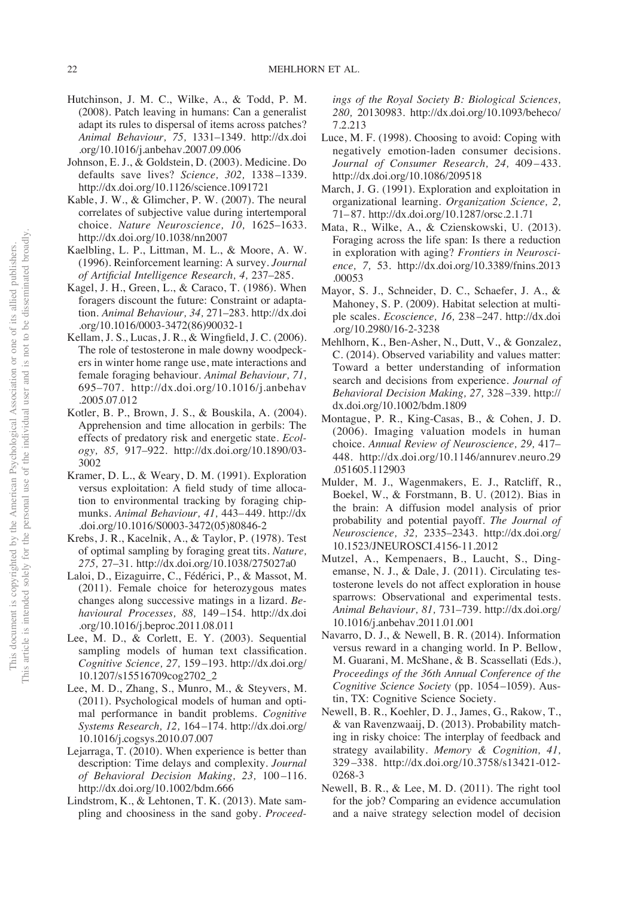- Hutchinson, J. M. C., Wilke, A., & Todd, P. M. (2008). Patch leaving in humans: Can a generalist adapt its rules to dispersal of items across patches? *Animal Behaviour, 75,* 1331–1349. http://dx.doi .org/10.1016/j.anbehav.2007.09.006
- Johnson, E. J., & Goldstein, D. (2003). Medicine. Do defaults save lives? *Science, 302,* 1338 –1339. http://dx.doi.org/10.1126/science.1091721
- Kable, J. W., & Glimcher, P. W. (2007). The neural correlates of subjective value during intertemporal choice. *Nature Neuroscience, 10,* 1625–1633. http://dx.doi.org/10.1038/nn2007
- Kaelbling, L. P., Littman, M. L., & Moore, A. W. (1996). Reinforcement learning: A survey. *Journal of Artificial Intelligence Research, 4,* 237–285.
- Kagel, J. H., Green, L., & Caraco, T. (1986). When foragers discount the future: Constraint or adaptation. *Animal Behaviour, 34,* 271–283. http://dx.doi .org/10.1016/0003-3472(86)90032-1
- Kellam, J. S., Lucas, J. R., & Wingfield, J. C. (2006). The role of testosterone in male downy woodpeckers in winter home range use, mate interactions and female foraging behaviour. *Animal Behaviour, 71,* 695–707. http://dx.doi.org/10.1016/j.anbehav .2005.07.012
- Kotler, B. P., Brown, J. S., & Bouskila, A. (2004). Apprehension and time allocation in gerbils: The effects of predatory risk and energetic state. *Ecology, 85,* 917–922. http://dx.doi.org/10.1890/03- 3002
- Kramer, D. L., & Weary, D. M. (1991). Exploration versus exploitation: A field study of time allocation to environmental tracking by foraging chipmunks. *Animal Behaviour, 41,* 443– 449. http://dx .doi.org/10.1016/S0003-3472(05)80846-2
- Krebs, J. R., Kacelnik, A., & Taylor, P. (1978). Test of optimal sampling by foraging great tits. *Nature, 275,* 27–31. http://dx.doi.org/10.1038/275027a0
- Laloi, D., Eizaguirre, C., Fédérici, P., & Massot, M. (2011). Female choice for heterozygous mates changes along successive matings in a lizard. *Behavioural Processes, 88,* 149 –154. http://dx.doi .org/10.1016/j.beproc.2011.08.011
- Lee, M. D., & Corlett, E. Y. (2003). Sequential sampling models of human text classification. *Cognitive Science, 27,* 159 –193. http://dx.doi.org/ 10.1207/s15516709cog2702\_2
- Lee, M. D., Zhang, S., Munro, M., & Steyvers, M. (2011). Psychological models of human and optimal performance in bandit problems. *Cognitive Systems Research, 12,* 164 –174. http://dx.doi.org/ 10.1016/j.cogsys.2010.07.007
- Lejarraga, T. (2010). When experience is better than description: Time delays and complexity. *Journal of Behavioral Decision Making, 23,* 100 –116. http://dx.doi.org/10.1002/bdm.666
- Lindstrom, K., & Lehtonen, T. K. (2013). Mate sampling and choosiness in the sand goby. *Proceed-*

*ings of the Royal Society B: Biological Sciences, 280,* 20130983. http://dx.doi.org/10.1093/beheco/ 7.2.213

- Luce, M. F. (1998). Choosing to avoid: Coping with negatively emotion-laden consumer decisions. *Journal of Consumer Research, 24,* 409 – 433. http://dx.doi.org/10.1086/209518
- March, J. G. (1991). Exploration and exploitation in organizational learning. *Organization Science, 2,* 71– 87. http://dx.doi.org/10.1287/orsc.2.1.71
- Mata, R., Wilke, A., & Czienskowski, U. (2013). Foraging across the life span: Is there a reduction in exploration with aging? *Frontiers in Neuroscience, 7,* 53. http://dx.doi.org/10.3389/fnins.2013 .00053
- Mayor, S. J., Schneider, D. C., Schaefer, J. A., & Mahoney, S. P. (2009). Habitat selection at multiple scales. *Ecoscience, 16,* 238 –247. http://dx.doi .org/10.2980/16-2-3238
- Mehlhorn, K., Ben-Asher, N., Dutt, V., & Gonzalez, C. (2014). Observed variability and values matter: Toward a better understanding of information search and decisions from experience. *Journal of Behavioral Decision Making, 27,* 328 –339. http:// dx.doi.org/10.1002/bdm.1809
- Montague, P. R., King-Casas, B., & Cohen, J. D. (2006). Imaging valuation models in human choice. *Annual Review of Neuroscience, 29,* 417– 448. http://dx.doi.org/10.1146/annurev.neuro.29 .051605.112903
- Mulder, M. J., Wagenmakers, E. J., Ratcliff, R., Boekel, W., & Forstmann, B. U. (2012). Bias in the brain: A diffusion model analysis of prior probability and potential payoff. *The Journal of Neuroscience, 32,* 2335–2343. http://dx.doi.org/ 10.1523/JNEUROSCI.4156-11.2012
- Mutzel, A., Kempenaers, B., Laucht, S., Dingemanse, N. J., & Dale, J. (2011). Circulating testosterone levels do not affect exploration in house sparrows: Observational and experimental tests. *Animal Behaviour, 81,* 731–739. http://dx.doi.org/ 10.1016/j.anbehav.2011.01.001
- Navarro, D. J., & Newell, B. R. (2014). Information versus reward in a changing world. In P. Bellow, M. Guarani, M. McShane, & B. Scassellati (Eds.), *Proceedings of the 36th Annual Conference of the Cognitive Science Society* (pp. 1054 –1059). Austin, TX: Cognitive Science Society.
- Newell, B. R., Koehler, D. J., James, G., Rakow, T., & van Ravenzwaaij, D. (2013). Probability matching in risky choice: The interplay of feedback and strategy availability. *Memory & Cognition, 41,* 329 –338. http://dx.doi.org/10.3758/s13421-012- 0268-3
- Newell, B. R., & Lee, M. D. (2011). The right tool for the job? Comparing an evidence accumulation and a naive strategy selection model of decision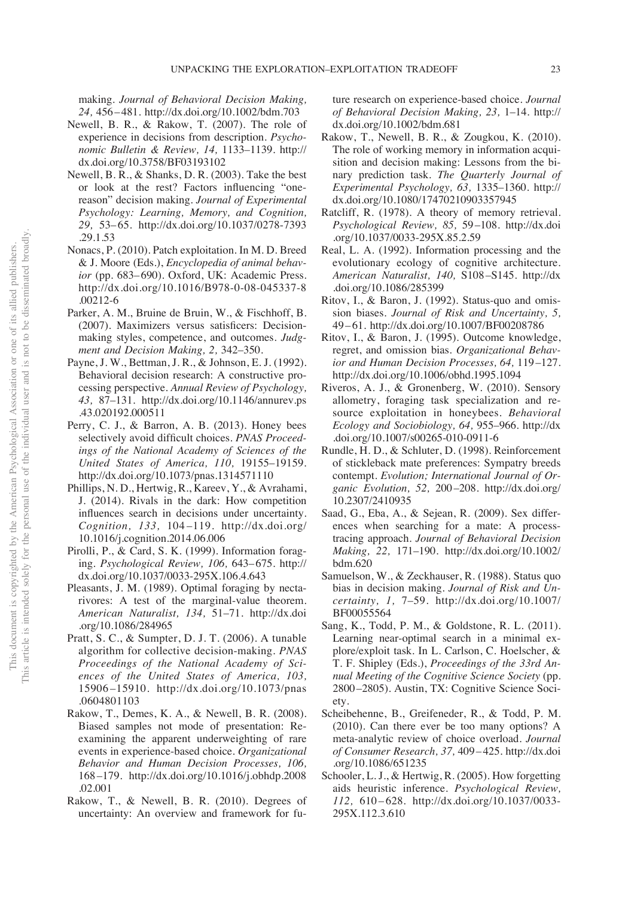making. *Journal of Behavioral Decision Making, 24,* 456 – 481. http://dx.doi.org/10.1002/bdm.703

- Newell, B. R., & Rakow, T. (2007). The role of experience in decisions from description. *Psychonomic Bulletin & Review, 14,* 1133–1139. http:// dx.doi.org/10.3758/BF03193102
- Newell, B. R., & Shanks, D. R. (2003). Take the best or look at the rest? Factors influencing "onereason" decision making. *Journal of Experimental Psychology: Learning, Memory, and Cognition, 29,* 53– 65. http://dx.doi.org/10.1037/0278-7393 .29.1.53
- Nonacs, P. (2010). Patch exploitation. In M. D. Breed & J. Moore (Eds.), *Encyclopedia of animal behav*ior (pp. 683-690). Oxford, UK: Academic Press. http://dx.doi.org/10.1016/B978-0-08-045337-8 .00212-6
- Parker, A. M., Bruine de Bruin, W., & Fischhoff, B. (2007). Maximizers versus satisficers: Decisionmaking styles, competence, and outcomes. *Judgment and Decision Making, 2,* 342–350.
- Payne, J. W., Bettman, J. R., & Johnson, E. J. (1992). Behavioral decision research: A constructive processing perspective. *Annual Review of Psychology, 43,* 87–131. http://dx.doi.org/10.1146/annurev.ps .43.020192.000511
- Perry, C. J., & Barron, A. B. (2013). Honey bees selectively avoid difficult choices. *PNAS Proceedings of the National Academy of Sciences of the United States of America, 110,* 19155–19159. http://dx.doi.org/10.1073/pnas.1314571110
- Phillips, N. D., Hertwig, R., Kareev, Y., & Avrahami, J. (2014). Rivals in the dark: How competition influences search in decisions under uncertainty. *Cognition, 133,* 104 –119. http://dx.doi.org/ 10.1016/j.cognition.2014.06.006
- Pirolli, P., & Card, S. K. (1999). Information foraging. *Psychological Review, 106,* 643– 675. http:// dx.doi.org/10.1037/0033-295X.106.4.643
- Pleasants, J. M. (1989). Optimal foraging by nectarivores: A test of the marginal-value theorem. *American Naturalist, 134,* 51–71. http://dx.doi .org/10.1086/284965
- Pratt, S. C., & Sumpter, D. J. T. (2006). A tunable algorithm for collective decision-making. *PNAS Proceedings of the National Academy of Sciences of the United States of America, 103,* 15906 –15910. http://dx.doi.org/10.1073/pnas .0604801103
- Rakow, T., Demes, K. A., & Newell, B. R. (2008). Biased samples not mode of presentation: Reexamining the apparent underweighting of rare events in experience-based choice. *Organizational Behavior and Human Decision Processes, 106,* 168 –179. http://dx.doi.org/10.1016/j.obhdp.2008 .02.001
- Rakow, T., & Newell, B. R. (2010). Degrees of uncertainty: An overview and framework for fu-

ture research on experience-based choice. *Journal of Behavioral Decision Making, 23,* 1–14. http:// dx.doi.org/10.1002/bdm.681

- Rakow, T., Newell, B. R., & Zougkou, K. (2010). The role of working memory in information acquisition and decision making: Lessons from the binary prediction task. *The Quarterly Journal of Experimental Psychology, 63,* 1335–1360. http:// dx.doi.org/10.1080/17470210903357945
- Ratcliff, R. (1978). A theory of memory retrieval. *Psychological Review, 85,* 59 –108. http://dx.doi .org/10.1037/0033-295X.85.2.59
- Real, L. A. (1992). Information processing and the evolutionary ecology of cognitive architecture. *American Naturalist, 140,* S108 –S145. http://dx .doi.org/10.1086/285399
- Ritov, I., & Baron, J. (1992). Status-quo and omission biases. *Journal of Risk and Uncertainty, 5,* 49 – 61. http://dx.doi.org/10.1007/BF00208786
- Ritov, I., & Baron, J. (1995). Outcome knowledge, regret, and omission bias. *Organizational Behavior and Human Decision Processes, 64,* 119 –127. http://dx.doi.org/10.1006/obhd.1995.1094
- Riveros, A. J., & Gronenberg, W. (2010). Sensory allometry, foraging task specialization and resource exploitation in honeybees. *Behavioral Ecology and Sociobiology, 64,* 955–966. http://dx .doi.org/10.1007/s00265-010-0911-6
- Rundle, H. D., & Schluter, D. (1998). Reinforcement of stickleback mate preferences: Sympatry breeds contempt. *Evolution; International Journal of Organic Evolution, 52,* 200 –208. http://dx.doi.org/ 10.2307/2410935
- Saad, G., Eba, A., & Sejean, R. (2009). Sex differences when searching for a mate: A processtracing approach. *Journal of Behavioral Decision Making, 22,* 171–190. http://dx.doi.org/10.1002/ bdm.620
- Samuelson, W., & Zeckhauser, R. (1988). Status quo bias in decision making. *Journal of Risk and Uncertainty, 1,* 7–59. http://dx.doi.org/10.1007/ BF00055564
- Sang, K., Todd, P. M., & Goldstone, R. L. (2011). Learning near-optimal search in a minimal explore/exploit task. In L. Carlson, C. Hoelscher, & T. F. Shipley (Eds.), *Proceedings of the 33rd Annual Meeting of the Cognitive Science Society* (pp. 2800 –2805). Austin, TX: Cognitive Science Society.
- Scheibehenne, B., Greifeneder, R., & Todd, P. M. (2010). Can there ever be too many options? A meta-analytic review of choice overload. *Journal of Consumer Research, 37,* 409 – 425. http://dx.doi .org/10.1086/651235
- Schooler, L. J., & Hertwig, R. (2005). How forgetting aids heuristic inference. *Psychological Review, 112,* 610 – 628. http://dx.doi.org/10.1037/0033- 295X.112.3.610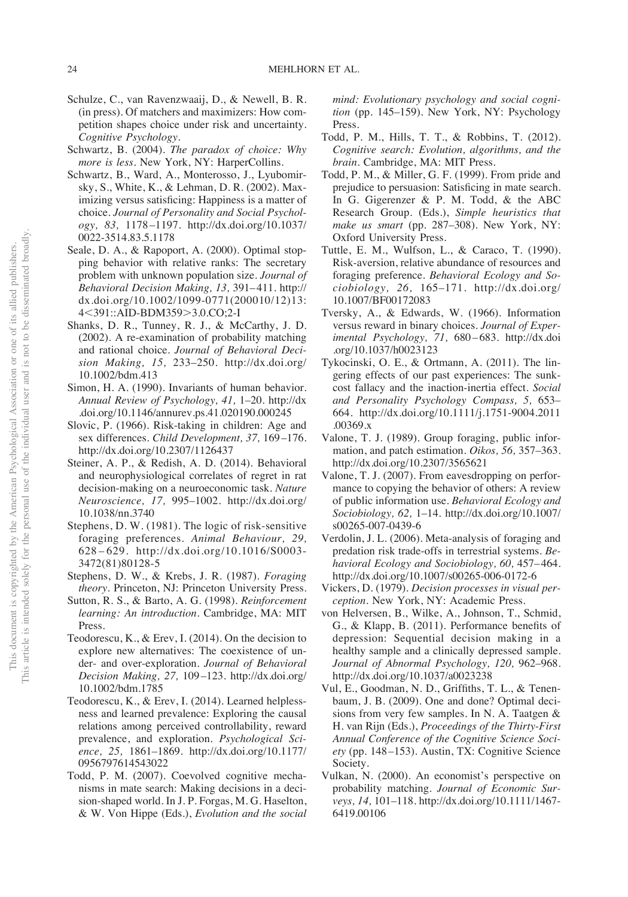- Schulze, C., van Ravenzwaaij, D., & Newell, B. R. (in press). Of matchers and maximizers: How competition shapes choice under risk and uncertainty. *Cognitive Psychology*.
- Schwartz, B. (2004). *The paradox of choice: Why more is less*. New York, NY: HarperCollins.
- Schwartz, B., Ward, A., Monterosso, J., Lyubomirsky, S., White, K., & Lehman, D. R. (2002). Maximizing versus satisficing: Happiness is a matter of choice. *Journal of Personality and Social Psychology, 83,* 1178 –1197. http://dx.doi.org/10.1037/ 0022-3514.83.5.1178
- Seale, D. A., & Rapoport, A. (2000). Optimal stopping behavior with relative ranks: The secretary problem with unknown population size. *Journal of Behavioral Decision Making, 13,* 391– 411. http:// dx.doi.org/10.1002/1099-0771(200010/12)13: 4 < 391:: AID-BDM359 > 3.0.CO; 2-I
- Shanks, D. R., Tunney, R. J., & McCarthy, J. D. (2002). A re-examination of probability matching and rational choice. *Journal of Behavioral Decision Making, 15,* 233–250. http://dx.doi.org/ 10.1002/bdm.413
- Simon, H. A. (1990). Invariants of human behavior. *Annual Review of Psychology, 41,* 1–20. http://dx .doi.org/10.1146/annurev.ps.41.020190.000245
- Slovic, P. (1966). Risk-taking in children: Age and sex differences. *Child Development, 37,* 169 –176. http://dx.doi.org/10.2307/1126437
- Steiner, A. P., & Redish, A. D. (2014). Behavioral and neurophysiological correlates of regret in rat decision-making on a neuroeconomic task. *Nature Neuroscience, 17,* 995–1002. http://dx.doi.org/ 10.1038/nn.3740
- Stephens, D. W. (1981). The logic of risk-sensitive foraging preferences. *Animal Behaviour, 29,* 628 – 629. http://dx.doi.org/10.1016/S0003- 3472(81)80128-5
- Stephens, D. W., & Krebs, J. R. (1987). *Foraging theory*. Princeton, NJ: Princeton University Press.
- Sutton, R. S., & Barto, A. G. (1998). *Reinforcement learning: An introduction*. Cambridge, MA: MIT Press.
- Teodorescu, K., & Erev, I. (2014). On the decision to explore new alternatives: The coexistence of under- and over-exploration. *Journal of Behavioral Decision Making, 27,* 109 –123. http://dx.doi.org/ 10.1002/bdm.1785
- Teodorescu, K., & Erev, I. (2014). Learned helplessness and learned prevalence: Exploring the causal relations among perceived controllability, reward prevalence, and exploration. *Psychological Science, 25,* 1861–1869. http://dx.doi.org/10.1177/ 0956797614543022
- Todd, P. M. (2007). Coevolved cognitive mechanisms in mate search: Making decisions in a decision-shaped world. In J. P. Forgas, M. G. Haselton, & W. Von Hippe (Eds.), *Evolution and the social*

*mind: Evolutionary psychology and social cognition* (pp. 145–159). New York, NY: Psychology Press.

- Todd, P. M., Hills, T. T., & Robbins, T. (2012). *Cognitive search: Evolution, algorithms, and the brain*. Cambridge, MA: MIT Press.
- Todd, P. M., & Miller, G. F. (1999). From pride and prejudice to persuasion: Satisficing in mate search. In G. Gigerenzer & P. M. Todd, & the ABC Research Group. (Eds.), *Simple heuristics that make us smart* (pp. 287–308). New York, NY: Oxford University Press.
- Tuttle, E. M., Wulfson, L., & Caraco, T. (1990). Risk-aversion, relative abundance of resources and foraging preference. *Behavioral Ecology and Sociobiology, 26,* 165–171. http://dx.doi.org/ 10.1007/BF00172083
- Tversky, A., & Edwards, W. (1966). Information versus reward in binary choices. *Journal of Experimental Psychology, 71,* 680 – 683. http://dx.doi .org/10.1037/h0023123
- Tykocinski, O. E., & Ortmann, A. (2011). The lingering effects of our past experiences: The sunkcost fallacy and the inaction-inertia effect. *Social and Personality Psychology Compass, 5,* 653– 664. http://dx.doi.org/10.1111/j.1751-9004.2011 .00369.x
- Valone, T. J. (1989). Group foraging, public information, and patch estimation. *Oikos, 56,* 357–363. http://dx.doi.org/10.2307/3565621
- Valone, T. J. (2007). From eavesdropping on performance to copying the behavior of others: A review of public information use. *Behavioral Ecology and Sociobiology, 62,* 1–14. http://dx.doi.org/10.1007/ s00265-007-0439-6
- Verdolin, J. L. (2006). Meta-analysis of foraging and predation risk trade-offs in terrestrial systems. *Behavioral Ecology and Sociobiology, 60,* 457– 464. http://dx.doi.org/10.1007/s00265-006-0172-6
- Vickers, D. (1979). *Decision processes in visual perception*. New York, NY: Academic Press.
- von Helversen, B., Wilke, A., Johnson, T., Schmid, G., & Klapp, B. (2011). Performance benefits of depression: Sequential decision making in a healthy sample and a clinically depressed sample. *Journal of Abnormal Psychology, 120,* 962–968. http://dx.doi.org/10.1037/a0023238
- Vul, E., Goodman, N. D., Griffiths, T. L., & Tenenbaum, J. B. (2009). One and done? Optimal decisions from very few samples. In N. A. Taatgen & H. van Rijn (Eds.), *Proceedings of the Thirty-First Annual Conference of the Cognitive Science Society* (pp. 148 –153). Austin, TX: Cognitive Science Society.
- Vulkan, N. (2000). An economist's perspective on probability matching. *Journal of Economic Surveys, 14,* 101–118. http://dx.doi.org/10.1111/1467- 6419.00106